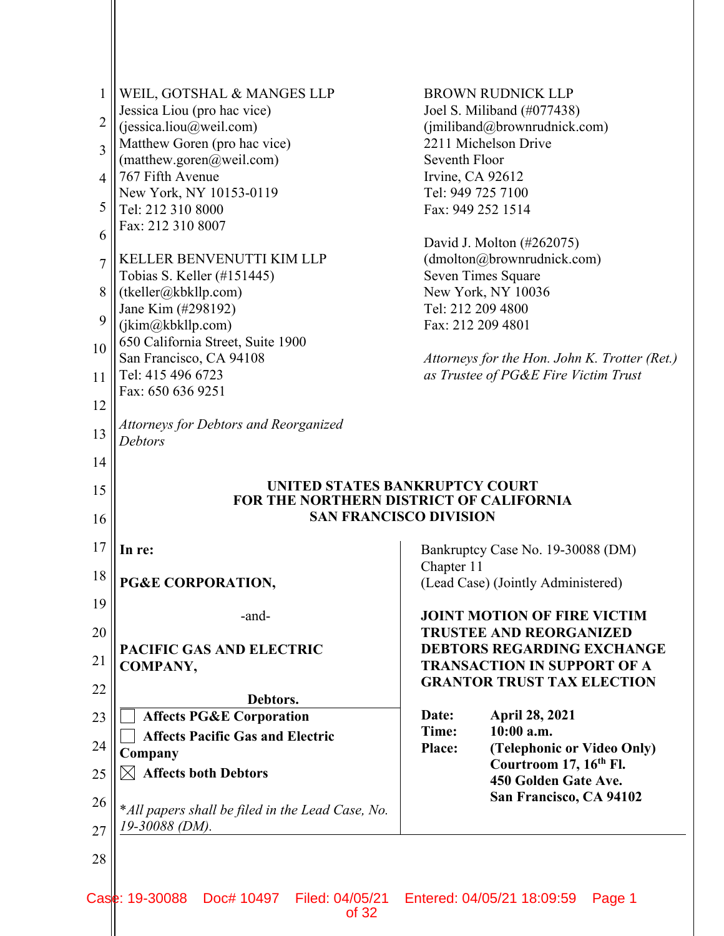| $\mathbf{1}$   | WEIL, GOTSHAL & MANGES LLP                                         | <b>BROWN RUDNICK LLP</b>                                                 |
|----------------|--------------------------------------------------------------------|--------------------------------------------------------------------------|
| $\overline{2}$ | Jessica Liou (pro hac vice)<br>(jessica.liou@weil.com)             | Joel S. Miliband (#077438)<br>(imiliband@brownrudnick.com)               |
| 3              | Matthew Goren (pro hac vice)                                       | 2211 Michelson Drive                                                     |
|                | (matthew.goren@weil.com)                                           | Seventh Floor                                                            |
| $\overline{4}$ | 767 Fifth Avenue                                                   | Irvine, CA 92612                                                         |
| 5              | New York, NY 10153-0119<br>Tel: 212 310 8000                       | Tel: 949 725 7100<br>Fax: 949 252 1514                                   |
|                | Fax: 212 310 8007                                                  |                                                                          |
| 6              |                                                                    | David J. Molton (#262075)                                                |
| $\overline{7}$ | KELLER BENVENUTTI KIM LLP                                          | (dmolton@brownrudnick.com)                                               |
| 8              | Tobias S. Keller (#151445)                                         | Seven Times Square<br>New York, NY 10036                                 |
|                | (tkeller@kbkllp.com)<br>Jane Kim (#298192)                         | Tel: 212 209 4800                                                        |
| 9              | (jkim@kbkllp.com)                                                  | Fax: 212 209 4801                                                        |
| 10             | 650 California Street, Suite 1900                                  |                                                                          |
|                | San Francisco, CA 94108                                            | Attorneys for the Hon. John K. Trotter (Ret.)                            |
| 11             | Tel: 415 496 6723<br>Fax: 650 636 9251                             | as Trustee of PG&E Fire Victim Trust                                     |
| 12             |                                                                    |                                                                          |
| 13             | <b>Attorneys for Debtors and Reorganized</b>                       |                                                                          |
|                | <b>Debtors</b>                                                     |                                                                          |
| 14             |                                                                    |                                                                          |
| 15             |                                                                    | UNITED STATES BANKRUPTCY COURT                                           |
|                |                                                                    | FOR THE NORTHERN DISTRICT OF CALIFORNIA<br><b>SAN FRANCISCO DIVISION</b> |
| 16             |                                                                    |                                                                          |
| 17             | In re:                                                             | Bankruptcy Case No. 19-30088 (DM)                                        |
| 18             |                                                                    | Chapter 11                                                               |
|                | PG&E CORPORATION,                                                  | (Lead Case) (Jointly Administered)                                       |
| 19             | -and-                                                              | <b>JOINT MOTION OF FIRE VICTIM</b>                                       |
| 20             |                                                                    | <b>TRUSTEE AND REORGANIZED</b>                                           |
| 21             | <b>PACIFIC GAS AND ELECTRIC</b>                                    | <b>DEBTORS REGARDING EXCHANGE</b>                                        |
|                | <b>COMPANY,</b>                                                    | <b>TRANSACTION IN SUPPORT OF A</b><br><b>GRANTOR TRUST TAX ELECTION</b>  |
| 22             | Debtors.                                                           |                                                                          |
| 23             | <b>Affects PG&amp;E Corporation</b>                                | Date:<br><b>April 28, 2021</b>                                           |
| 24             | <b>Affects Pacific Gas and Electric</b>                            | 10:00 a.m.<br>Time:                                                      |
|                | Company                                                            | (Telephonic or Video Only)<br><b>Place:</b><br>Courtroom 17, 16th Fl.    |
| 25             | $\boxtimes$ Affects both Debtors                                   | 450 Golden Gate Ave.                                                     |
| 26             |                                                                    | San Francisco, CA 94102                                                  |
|                | *All papers shall be filed in the Lead Case, No.<br>19-30088 (DM). |                                                                          |
| 27             |                                                                    |                                                                          |
| 28             |                                                                    |                                                                          |
|                |                                                                    |                                                                          |
|                | Case: 19-30088<br>Doc# 10497<br>Filed: 04/05/21<br>of 32           | Entered: 04/05/21 18:09:59<br>Page 1                                     |
|                |                                                                    |                                                                          |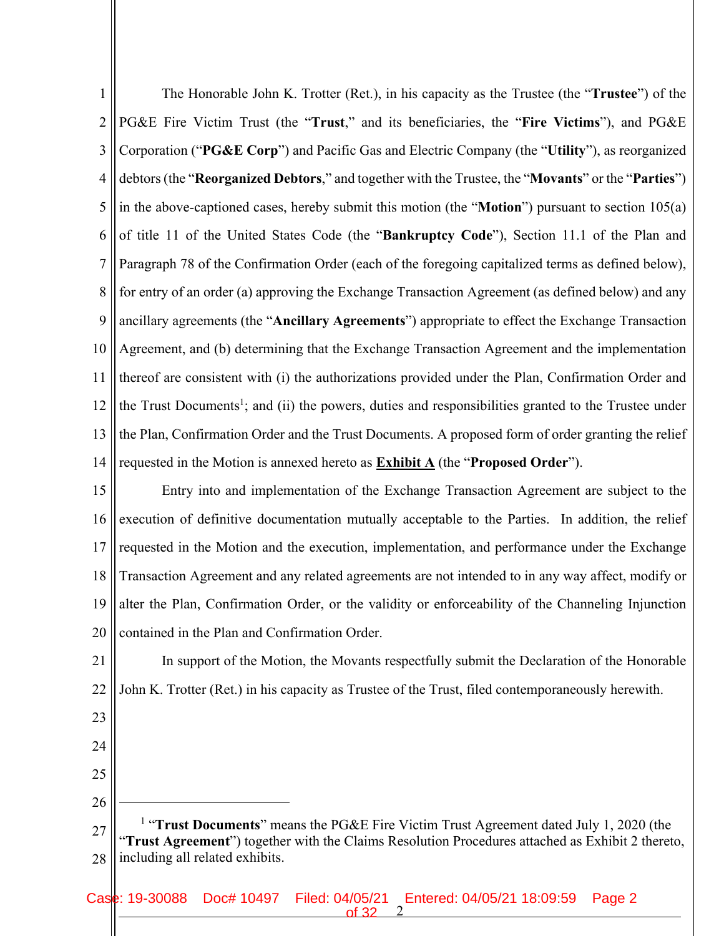1 2 3 4 5 6 7 8 9 10 11 12 13 14 The Honorable John K. Trotter (Ret.), in his capacity as the Trustee (the "**Trustee**") of the PG&E Fire Victim Trust (the "**Trust**," and its beneficiaries, the "**Fire Victims**"), and PG&E Corporation ("**PG&E Corp**") and Pacific Gas and Electric Company (the "**Utility**"), as reorganized debtors (the "**Reorganized Debtors**," and together with the Trustee, the "**Movants**" or the "**Parties**") in the above-captioned cases, hereby submit this motion (the "**Motion**") pursuant to section 105(a) of title 11 of the United States Code (the "**Bankruptcy Code**"), Section 11.1 of the Plan and Paragraph 78 of the Confirmation Order (each of the foregoing capitalized terms as defined below), for entry of an order (a) approving the Exchange Transaction Agreement (as defined below) and any ancillary agreements (the "**Ancillary Agreements**") appropriate to effect the Exchange Transaction Agreement, and (b) determining that the Exchange Transaction Agreement and the implementation thereof are consistent with (i) the authorizations provided under the Plan, Confirmation Order and the Trust Documents<sup>1</sup>; and (ii) the powers, duties and responsibilities granted to the Trustee under the Plan, Confirmation Order and the Trust Documents. A proposed form of order granting the relief requested in the Motion is annexed hereto as **Exhibit A** (the "**Proposed Order**").

15 16 17 18 19 20 Entry into and implementation of the Exchange Transaction Agreement are subject to the execution of definitive documentation mutually acceptable to the Parties. In addition, the relief requested in the Motion and the execution, implementation, and performance under the Exchange Transaction Agreement and any related agreements are not intended to in any way affect, modify or alter the Plan, Confirmation Order, or the validity or enforceability of the Channeling Injunction contained in the Plan and Confirmation Order.

21 22 In support of the Motion, the Movants respectfully submit the Declaration of the Honorable John K. Trotter (Ret.) in his capacity as Trustee of the Trust, filed contemporaneously herewith.

- 23
- 24 25
- 26

<sup>27</sup> 28 <sup>1</sup> "Trust Documents" means the PG&E Fire Victim Trust Agreement dated July 1, 2020 (the "**Trust Agreement**") together with the Claims Resolution Procedures attached as Exhibit 2 thereto, including all related exhibits.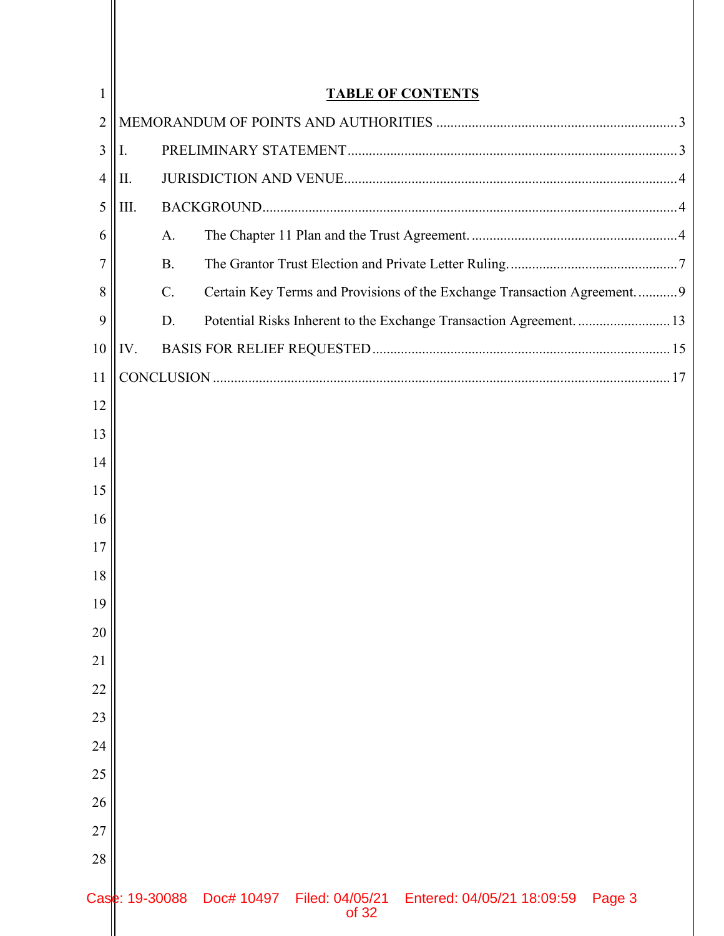| $\mathbf{1}$   |                |           |            |                          | <b>TABLE OF CONTENTS</b>                                                   |        |  |
|----------------|----------------|-----------|------------|--------------------------|----------------------------------------------------------------------------|--------|--|
| $\overline{2}$ |                |           |            |                          |                                                                            |        |  |
| 3              | I.             |           |            |                          |                                                                            |        |  |
| $\overline{4}$ | II.            |           |            |                          |                                                                            |        |  |
| 5              | III.           |           |            |                          |                                                                            |        |  |
| 6              |                | A.        |            |                          |                                                                            |        |  |
| 7              |                | <b>B.</b> |            |                          |                                                                            |        |  |
| 8              |                | $C$ .     |            |                          | Certain Key Terms and Provisions of the Exchange Transaction Agreement.  9 |        |  |
| 9              |                | D.        |            |                          | Potential Risks Inherent to the Exchange Transaction Agreement.  13        |        |  |
| 10             | IV.            |           |            |                          |                                                                            |        |  |
| 11             |                |           |            |                          |                                                                            |        |  |
| 12             |                |           |            |                          |                                                                            |        |  |
| 13             |                |           |            |                          |                                                                            |        |  |
| 14             |                |           |            |                          |                                                                            |        |  |
| 15             |                |           |            |                          |                                                                            |        |  |
| 16             |                |           |            |                          |                                                                            |        |  |
| 17             |                |           |            |                          |                                                                            |        |  |
| 18             |                |           |            |                          |                                                                            |        |  |
| 19             |                |           |            |                          |                                                                            |        |  |
| 20             |                |           |            |                          |                                                                            |        |  |
| 21             |                |           |            |                          |                                                                            |        |  |
| 22             |                |           |            |                          |                                                                            |        |  |
| 23             |                |           |            |                          |                                                                            |        |  |
| 24             |                |           |            |                          |                                                                            |        |  |
| 25             |                |           |            |                          |                                                                            |        |  |
| 26             |                |           |            |                          |                                                                            |        |  |
| 27             |                |           |            |                          |                                                                            |        |  |
| 28             |                |           |            |                          |                                                                            |        |  |
|                | Case: 19-30088 |           | Doc# 10497 | Filed: 04/05/21<br>of 32 | Entered: 04/05/21 18:09:59                                                 | Page 3 |  |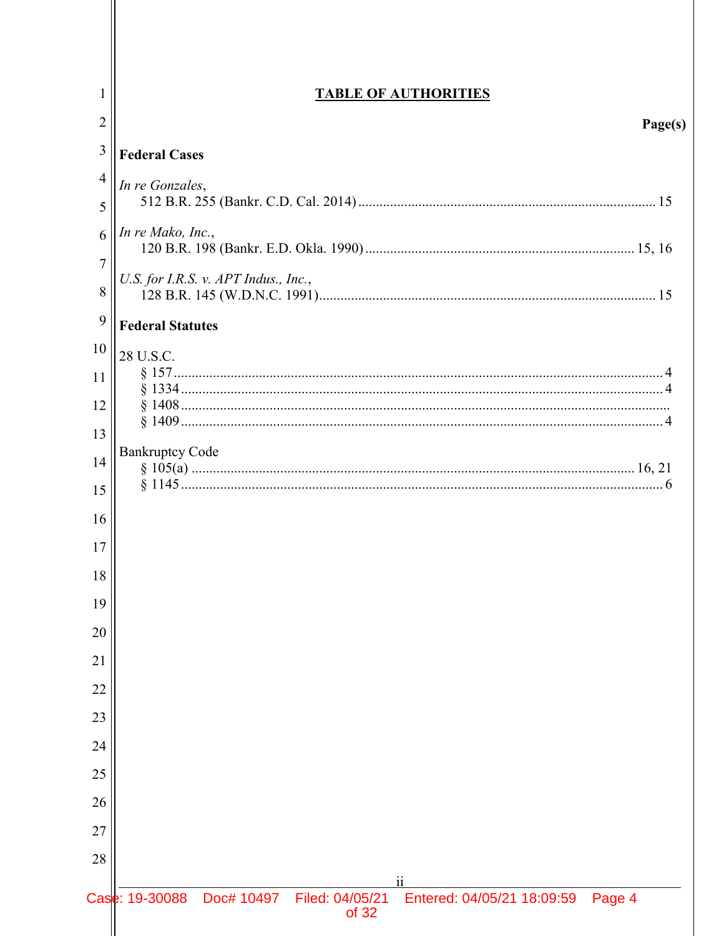| 1                   | <b>TABLE OF AUTHORITIES</b>                                                                                       |  |  |  |
|---------------------|-------------------------------------------------------------------------------------------------------------------|--|--|--|
| $\overline{2}$      | Page(s)                                                                                                           |  |  |  |
| 3                   | <b>Federal Cases</b>                                                                                              |  |  |  |
| $\overline{4}$      | In re Gonzales,                                                                                                   |  |  |  |
| 5                   |                                                                                                                   |  |  |  |
| 6                   | In re Mako, Inc.,                                                                                                 |  |  |  |
| $\overline{7}$<br>8 | U.S. for I.R.S. v. APT Indus., Inc.,                                                                              |  |  |  |
| 9                   | <b>Federal Statutes</b>                                                                                           |  |  |  |
| 10                  | 28 U.S.C.                                                                                                         |  |  |  |
| 11                  |                                                                                                                   |  |  |  |
| 12                  |                                                                                                                   |  |  |  |
| 13                  | <b>Bankruptcy Code</b>                                                                                            |  |  |  |
| 14                  |                                                                                                                   |  |  |  |
| 15                  |                                                                                                                   |  |  |  |
| 16                  |                                                                                                                   |  |  |  |
| 17                  |                                                                                                                   |  |  |  |
| 18                  |                                                                                                                   |  |  |  |
| 19<br>20            |                                                                                                                   |  |  |  |
| 21                  |                                                                                                                   |  |  |  |
| 22                  |                                                                                                                   |  |  |  |
| 23                  |                                                                                                                   |  |  |  |
| 24                  |                                                                                                                   |  |  |  |
| 25                  |                                                                                                                   |  |  |  |
| 26                  |                                                                                                                   |  |  |  |
| 27                  |                                                                                                                   |  |  |  |
| 28                  |                                                                                                                   |  |  |  |
|                     | $\mathbf{ii}$<br>Case: 19-30088<br>Doc# 10497<br>Entered: 04/05/21 18:09:59<br>Filed: 04/05/21<br>Page 4<br>of 32 |  |  |  |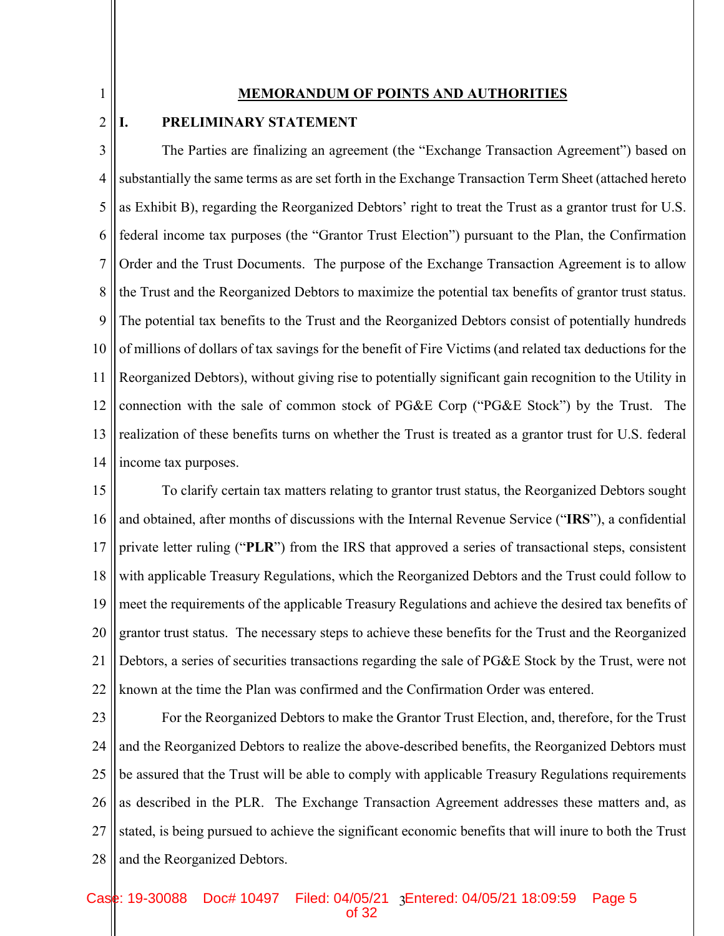1

#### **MEMORANDUM OF POINTS AND AUTHORITIES**

#### 2 **I. PRELIMINARY STATEMENT**

3 4 5 6 7 8 9 10 11 12 13 14 The Parties are finalizing an agreement (the "Exchange Transaction Agreement") based on substantially the same terms as are set forth in the Exchange Transaction Term Sheet (attached hereto as Exhibit B), regarding the Reorganized Debtors' right to treat the Trust as a grantor trust for U.S. federal income tax purposes (the "Grantor Trust Election") pursuant to the Plan, the Confirmation Order and the Trust Documents. The purpose of the Exchange Transaction Agreement is to allow the Trust and the Reorganized Debtors to maximize the potential tax benefits of grantor trust status. The potential tax benefits to the Trust and the Reorganized Debtors consist of potentially hundreds of millions of dollars of tax savings for the benefit of Fire Victims (and related tax deductions for the Reorganized Debtors), without giving rise to potentially significant gain recognition to the Utility in connection with the sale of common stock of PG&E Corp ("PG&E Stock") by the Trust. The realization of these benefits turns on whether the Trust is treated as a grantor trust for U.S. federal income tax purposes.

15 16 17 18 19 20 21 22 To clarify certain tax matters relating to grantor trust status, the Reorganized Debtors sought and obtained, after months of discussions with the Internal Revenue Service ("**IRS**"), a confidential private letter ruling ("**PLR**") from the IRS that approved a series of transactional steps, consistent with applicable Treasury Regulations, which the Reorganized Debtors and the Trust could follow to meet the requirements of the applicable Treasury Regulations and achieve the desired tax benefits of grantor trust status. The necessary steps to achieve these benefits for the Trust and the Reorganized Debtors, a series of securities transactions regarding the sale of PG&E Stock by the Trust, were not known at the time the Plan was confirmed and the Confirmation Order was entered.

23 24 25 26 27 28 For the Reorganized Debtors to make the Grantor Trust Election, and, therefore, for the Trust and the Reorganized Debtors to realize the above-described benefits, the Reorganized Debtors must be assured that the Trust will be able to comply with applicable Treasury Regulations requirements as described in the PLR. The Exchange Transaction Agreement addresses these matters and, as stated, is being pursued to achieve the significant economic benefits that will inure to both the Trust and the Reorganized Debtors.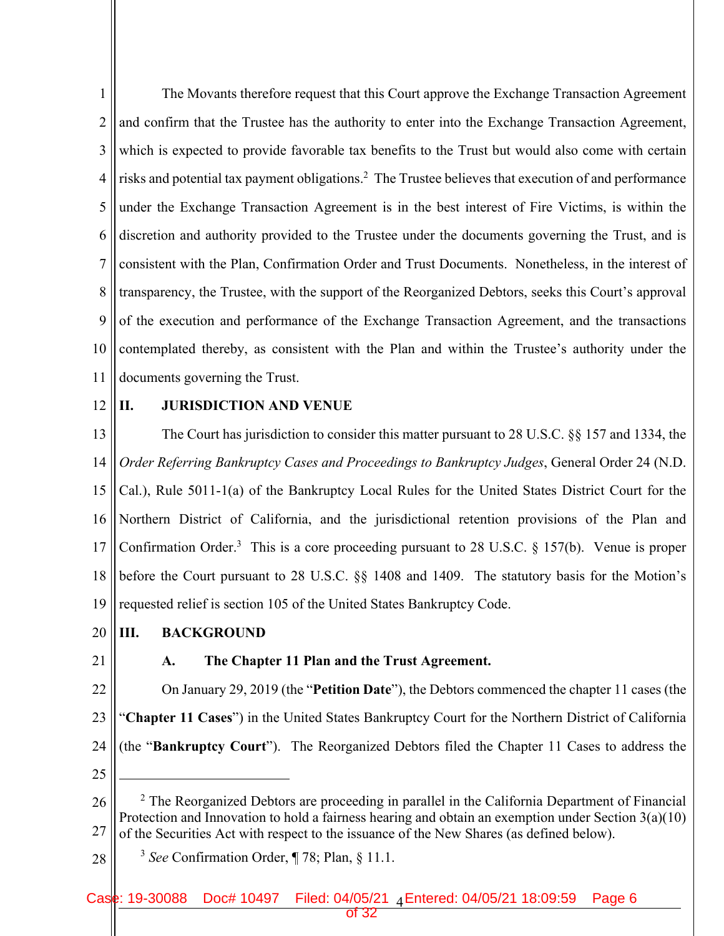1 2 3 4 5 6 7 8 9 10 11 The Movants therefore request that this Court approve the Exchange Transaction Agreement and confirm that the Trustee has the authority to enter into the Exchange Transaction Agreement, which is expected to provide favorable tax benefits to the Trust but would also come with certain risks and potential tax payment obligations.<sup>2</sup> The Trustee believes that execution of and performance under the Exchange Transaction Agreement is in the best interest of Fire Victims, is within the discretion and authority provided to the Trustee under the documents governing the Trust, and is consistent with the Plan, Confirmation Order and Trust Documents. Nonetheless, in the interest of transparency, the Trustee, with the support of the Reorganized Debtors, seeks this Court's approval of the execution and performance of the Exchange Transaction Agreement, and the transactions contemplated thereby, as consistent with the Plan and within the Trustee's authority under the documents governing the Trust.

12

## **II. JURISDICTION AND VENUE**

13 14 15 16 17 18 19 The Court has jurisdiction to consider this matter pursuant to 28 U.S.C. §§ 157 and 1334, the *Order Referring Bankruptcy Cases and Proceedings to Bankruptcy Judges*, General Order 24 (N.D. Cal.), Rule 5011-1(a) of the Bankruptcy Local Rules for the United States District Court for the Northern District of California, and the jurisdictional retention provisions of the Plan and Confirmation Order.<sup>3</sup> This is a core proceeding pursuant to 28 U.S.C. § 157(b). Venue is proper before the Court pursuant to 28 U.S.C. §§ 1408 and 1409. The statutory basis for the Motion's requested relief is section 105 of the United States Bankruptcy Code.

- 20 **III. BACKGROUND**
- 21

### **A. The Chapter 11 Plan and the Trust Agreement.**

22 23 24 On January 29, 2019 (the "**Petition Date**"), the Debtors commenced the chapter 11 cases (the "**Chapter 11 Cases**") in the United States Bankruptcy Court for the Northern District of California (the "**Bankruptcy Court**"). The Reorganized Debtors filed the Chapter 11 Cases to address the

25

<sup>26</sup> 27  $2$  The Reorganized Debtors are proceeding in parallel in the California Department of Financial Protection and Innovation to hold a fairness hearing and obtain an exemption under Section 3(a)(10) of the Securities Act with respect to the issuance of the New Shares (as defined below).

<sup>28</sup> <sup>3</sup> *See* Confirmation Order, ¶ 78; Plan, § 11.1.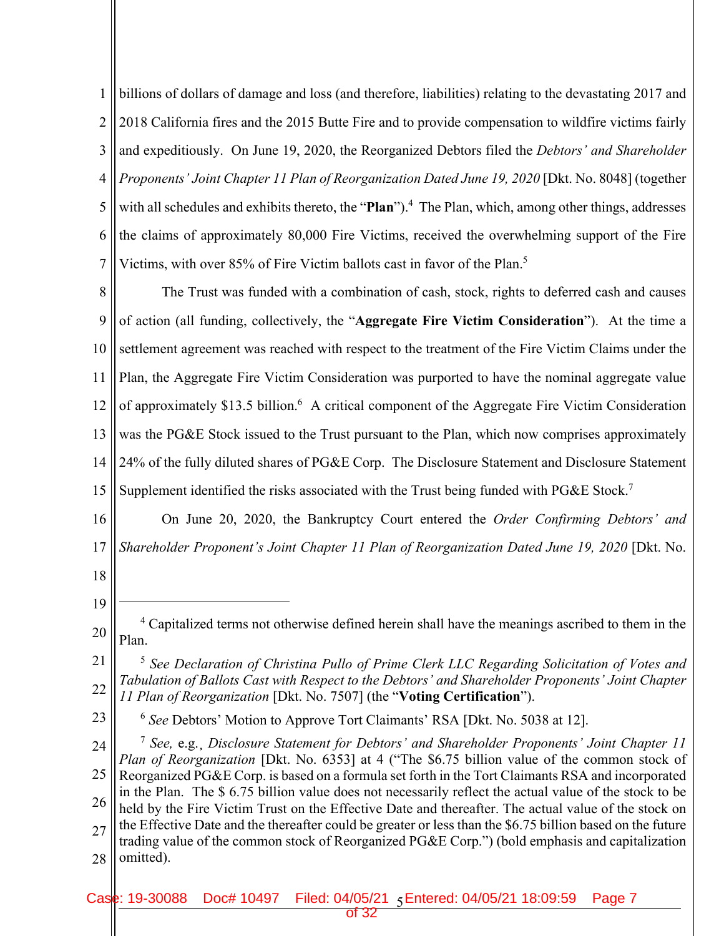1 2 3 4 5 6 7 billions of dollars of damage and loss (and therefore, liabilities) relating to the devastating 2017 and 2018 California fires and the 2015 Butte Fire and to provide compensation to wildfire victims fairly and expeditiously. On June 19, 2020, the Reorganized Debtors filed the *Debtors' and Shareholder Proponents' Joint Chapter 11 Plan of Reorganization Dated June 19, 2020* [Dkt. No. 8048] (together with all schedules and exhibits thereto, the "Plan").<sup>4</sup> The Plan, which, among other things, addresses the claims of approximately 80,000 Fire Victims, received the overwhelming support of the Fire Victims, with over 85% of Fire Victim ballots cast in favor of the Plan.<sup>5</sup>

8 9 10 11 12 13 14 15 The Trust was funded with a combination of cash, stock, rights to deferred cash and causes of action (all funding, collectively, the "**Aggregate Fire Victim Consideration**"). At the time a settlement agreement was reached with respect to the treatment of the Fire Victim Claims under the Plan, the Aggregate Fire Victim Consideration was purported to have the nominal aggregate value of approximately \$13.5 billion.<sup>6</sup> A critical component of the Aggregate Fire Victim Consideration was the PG&E Stock issued to the Trust pursuant to the Plan, which now comprises approximately 24% of the fully diluted shares of PG&E Corp. The Disclosure Statement and Disclosure Statement Supplement identified the risks associated with the Trust being funded with PG&E Stock.<sup>7</sup>

16 17 On June 20, 2020, the Bankruptcy Court entered the *Order Confirming Debtors' and Shareholder Proponent's Joint Chapter 11 Plan of Reorganization Dated June 19, 2020* [Dkt. No.

- 18
- 19

- 21 22 <sup>5</sup> *See Declaration of Christina Pullo of Prime Clerk LLC Regarding Solicitation of Votes and Tabulation of Ballots Cast with Respect to the Debtors' and Shareholder Proponents' Joint Chapter 11 Plan of Reorganization* [Dkt. No. 7507] (the "**Voting Certification**").
- 23 <sup>6</sup> *See* Debtors' Motion to Approve Tort Claimants' RSA [Dkt. No. 5038 at 12].

<sup>20</sup> <sup>4</sup> Capitalized terms not otherwise defined herein shall have the meanings ascribed to them in the Plan.

<sup>24</sup> 25 26 27 28 <sup>7</sup> *See,* e.g.¸ *Disclosure Statement for Debtors' and Shareholder Proponents' Joint Chapter 11 Plan of Reorganization* [Dkt. No. 6353] at 4 ("The \$6.75 billion value of the common stock of Reorganized PG&E Corp. is based on a formula set forth in the Tort Claimants RSA and incorporated in the Plan. The \$ 6.75 billion value does not necessarily reflect the actual value of the stock to be held by the Fire Victim Trust on the Effective Date and thereafter. The actual value of the stock on the Effective Date and the thereafter could be greater or less than the \$6.75 billion based on the future trading value of the common stock of Reorganized PG&E Corp.") (bold emphasis and capitalization omitted).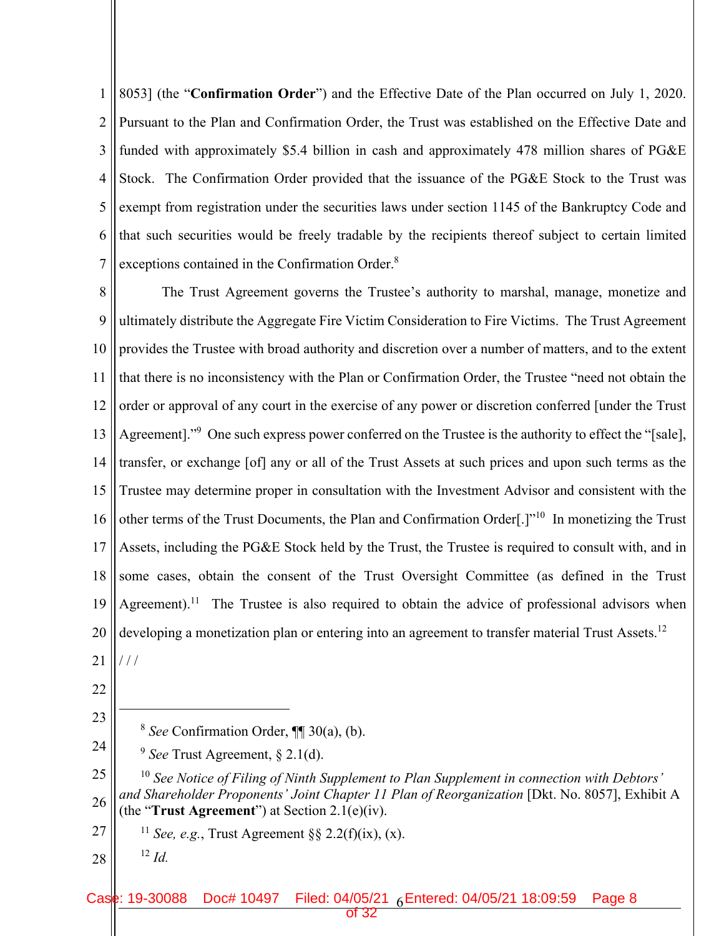1 2 3 4 5 6 7 8053] (the "**Confirmation Order**") and the Effective Date of the Plan occurred on July 1, 2020. Pursuant to the Plan and Confirmation Order, the Trust was established on the Effective Date and funded with approximately \$5.4 billion in cash and approximately 478 million shares of PG&E Stock. The Confirmation Order provided that the issuance of the PG&E Stock to the Trust was exempt from registration under the securities laws under section 1145 of the Bankruptcy Code and that such securities would be freely tradable by the recipients thereof subject to certain limited exceptions contained in the Confirmation Order.8

8 9 10 11 12 13 14 15 16 17 18 19 20 21 The Trust Agreement governs the Trustee's authority to marshal, manage, monetize and ultimately distribute the Aggregate Fire Victim Consideration to Fire Victims. The Trust Agreement provides the Trustee with broad authority and discretion over a number of matters, and to the extent that there is no inconsistency with the Plan or Confirmation Order, the Trustee "need not obtain the order or approval of any court in the exercise of any power or discretion conferred [under the Trust Agreement]."<sup>9</sup> One such express power conferred on the Trustee is the authority to effect the "[sale], transfer, or exchange [of] any or all of the Trust Assets at such prices and upon such terms as the Trustee may determine proper in consultation with the Investment Advisor and consistent with the other terms of the Trust Documents, the Plan and Confirmation Order[.]"10 In monetizing the Trust Assets, including the PG&E Stock held by the Trust, the Trustee is required to consult with, and in some cases, obtain the consent of the Trust Oversight Committee (as defined in the Trust Agreement).<sup>11</sup> The Trustee is also required to obtain the advice of professional advisors when developing a monetization plan or entering into an agreement to transfer material Trust Assets.<sup>12</sup>  $/ /$ 

- 22
- 23

24

- <sup>8</sup> *See* Confirmation Order, ¶¶ 30(a), (b).
- <sup>9</sup> *See* Trust Agreement, § 2.1(d).

27 <sup>11</sup> *See, e.g.*, Trust Agreement  $\S$ § 2.2(f)(ix), (x).

28 <sup>12</sup> *Id.*

Case: 19-30088 Doc# 10497 Filed: 04/05/21 <sub>6</sub>Entered: 04/05/21 18:09:59 Page 8 of 32

<sup>25</sup> 26 <sup>10</sup> *See Notice of Filing of Ninth Supplement to Plan Supplement in connection with Debtors' and Shareholder Proponents' Joint Chapter 11 Plan of Reorganization* [Dkt. No. 8057], Exhibit A (the "**Trust Agreement**") at Section 2.1(e)(iv).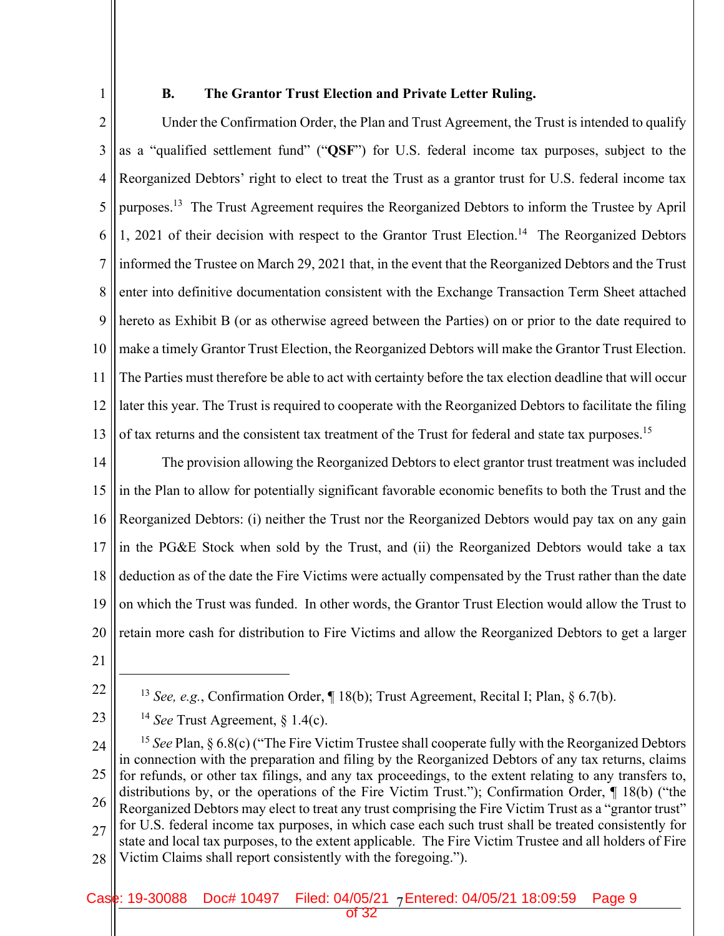1

## **B. The Grantor Trust Election and Private Letter Ruling.**

2 3 4 5 6 7 8 9 10 11 12 13 Under the Confirmation Order, the Plan and Trust Agreement, the Trust is intended to qualify as a "qualified settlement fund" ("**QSF**") for U.S. federal income tax purposes, subject to the Reorganized Debtors' right to elect to treat the Trust as a grantor trust for U.S. federal income tax purposes.<sup>13</sup> The Trust Agreement requires the Reorganized Debtors to inform the Trustee by April 1, 2021 of their decision with respect to the Grantor Trust Election.<sup>14</sup> The Reorganized Debtors informed the Trustee on March 29, 2021 that, in the event that the Reorganized Debtors and the Trust enter into definitive documentation consistent with the Exchange Transaction Term Sheet attached hereto as Exhibit B (or as otherwise agreed between the Parties) on or prior to the date required to make a timely Grantor Trust Election, the Reorganized Debtors will make the Grantor Trust Election. The Parties must therefore be able to act with certainty before the tax election deadline that will occur later this year. The Trust is required to cooperate with the Reorganized Debtors to facilitate the filing of tax returns and the consistent tax treatment of the Trust for federal and state tax purposes.<sup>15</sup>

14 15 16 17 18 19 20 The provision allowing the Reorganized Debtors to elect grantor trust treatment was included in the Plan to allow for potentially significant favorable economic benefits to both the Trust and the Reorganized Debtors: (i) neither the Trust nor the Reorganized Debtors would pay tax on any gain in the PG&E Stock when sold by the Trust, and (ii) the Reorganized Debtors would take a tax deduction as of the date the Fire Victims were actually compensated by the Trust rather than the date on which the Trust was funded. In other words, the Grantor Trust Election would allow the Trust to retain more cash for distribution to Fire Victims and allow the Reorganized Debtors to get a larger

- 21
- 22

23

<sup>14</sup> *See* Trust Agreement, § 1.4(c).

24 25 26 27 28 <sup>15</sup> See Plan, § 6.8(c) ("The Fire Victim Trustee shall cooperate fully with the Reorganized Debtors in connection with the preparation and filing by the Reorganized Debtors of any tax returns, claims for refunds, or other tax filings, and any tax proceedings, to the extent relating to any transfers to, distributions by, or the operations of the Fire Victim Trust."); Confirmation Order, ¶ 18(b) ("the Reorganized Debtors may elect to treat any trust comprising the Fire Victim Trust as a "grantor trust" for U.S. federal income tax purposes, in which case each such trust shall be treated consistently for state and local tax purposes, to the extent applicable. The Fire Victim Trustee and all holders of Fire Victim Claims shall report consistently with the foregoing.").

<sup>13</sup> *See, e.g.*, Confirmation Order, ¶ 18(b); Trust Agreement, Recital I; Plan, § 6.7(b).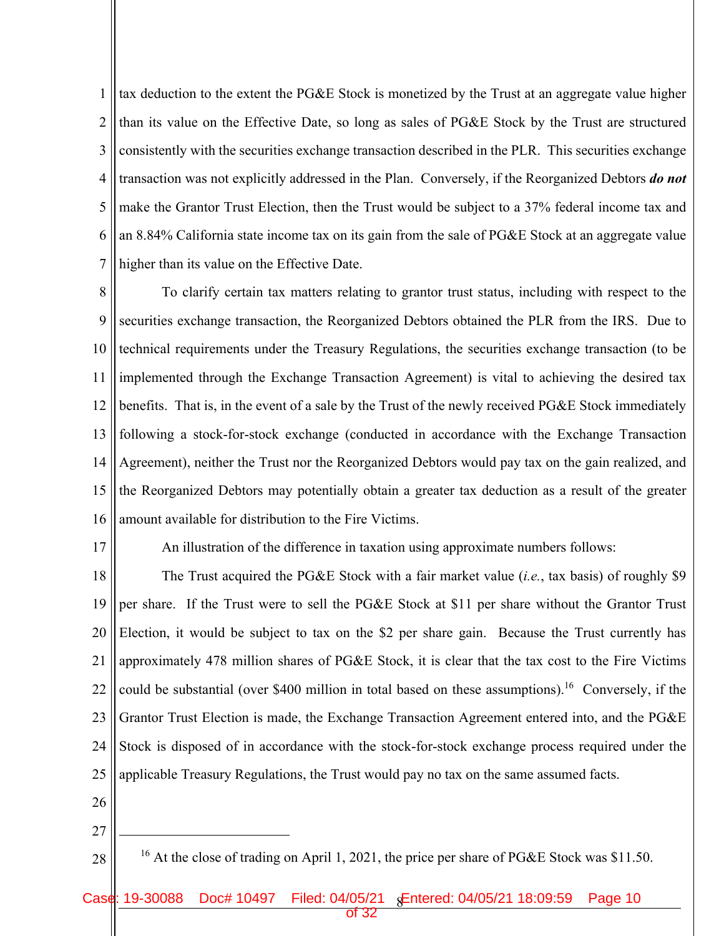1 2 3 4 5 6 7 tax deduction to the extent the PG&E Stock is monetized by the Trust at an aggregate value higher than its value on the Effective Date, so long as sales of PG&E Stock by the Trust are structured consistently with the securities exchange transaction described in the PLR. This securities exchange transaction was not explicitly addressed in the Plan. Conversely, if the Reorganized Debtors *do not* make the Grantor Trust Election, then the Trust would be subject to a 37% federal income tax and an 8.84% California state income tax on its gain from the sale of PG&E Stock at an aggregate value higher than its value on the Effective Date.

8 9 10 11 12 13 14 15 16 To clarify certain tax matters relating to grantor trust status, including with respect to the securities exchange transaction, the Reorganized Debtors obtained the PLR from the IRS. Due to technical requirements under the Treasury Regulations, the securities exchange transaction (to be implemented through the Exchange Transaction Agreement) is vital to achieving the desired tax benefits. That is, in the event of a sale by the Trust of the newly received PG&E Stock immediately following a stock-for-stock exchange (conducted in accordance with the Exchange Transaction Agreement), neither the Trust nor the Reorganized Debtors would pay tax on the gain realized, and the Reorganized Debtors may potentially obtain a greater tax deduction as a result of the greater amount available for distribution to the Fire Victims.

17

An illustration of the difference in taxation using approximate numbers follows:

18 19 20 21 22 23 24 25 The Trust acquired the PG&E Stock with a fair market value (*i.e.*, tax basis) of roughly \$9 per share. If the Trust were to sell the PG&E Stock at \$11 per share without the Grantor Trust Election, it would be subject to tax on the \$2 per share gain. Because the Trust currently has approximately 478 million shares of PG&E Stock, it is clear that the tax cost to the Fire Victims could be substantial (over \$400 million in total based on these assumptions).<sup>16</sup> Conversely, if the Grantor Trust Election is made, the Exchange Transaction Agreement entered into, and the PG&E Stock is disposed of in accordance with the stock-for-stock exchange process required under the applicable Treasury Regulations, the Trust would pay no tax on the same assumed facts.

- 26
- 27
- 28 <sup>16</sup> At the close of trading on April 1, 2021, the price per share of PG&E Stock was \$11.50.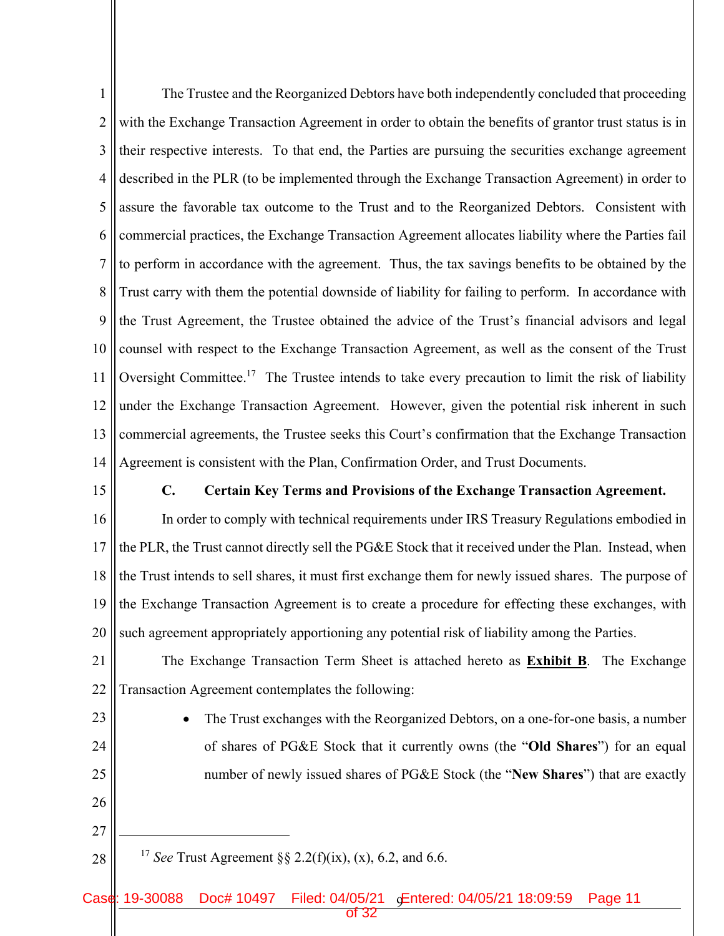1 2 3 4 5 6 7 8 9 10 11 12 13 14 The Trustee and the Reorganized Debtors have both independently concluded that proceeding with the Exchange Transaction Agreement in order to obtain the benefits of grantor trust status is in their respective interests. To that end, the Parties are pursuing the securities exchange agreement described in the PLR (to be implemented through the Exchange Transaction Agreement) in order to assure the favorable tax outcome to the Trust and to the Reorganized Debtors. Consistent with commercial practices, the Exchange Transaction Agreement allocates liability where the Parties fail to perform in accordance with the agreement. Thus, the tax savings benefits to be obtained by the Trust carry with them the potential downside of liability for failing to perform. In accordance with the Trust Agreement, the Trustee obtained the advice of the Trust's financial advisors and legal counsel with respect to the Exchange Transaction Agreement, as well as the consent of the Trust Oversight Committee.<sup>17</sup> The Trustee intends to take every precaution to limit the risk of liability under the Exchange Transaction Agreement. However, given the potential risk inherent in such commercial agreements, the Trustee seeks this Court's confirmation that the Exchange Transaction Agreement is consistent with the Plan, Confirmation Order, and Trust Documents.

15

## **C. Certain Key Terms and Provisions of the Exchange Transaction Agreement.**

16 17 18 19 20 In order to comply with technical requirements under IRS Treasury Regulations embodied in the PLR, the Trust cannot directly sell the PG&E Stock that it received under the Plan. Instead, when the Trust intends to sell shares, it must first exchange them for newly issued shares. The purpose of the Exchange Transaction Agreement is to create a procedure for effecting these exchanges, with such agreement appropriately apportioning any potential risk of liability among the Parties.

21 22 The Exchange Transaction Term Sheet is attached hereto as **Exhibit B**. The Exchange Transaction Agreement contemplates the following:

- The Trust exchanges with the Reorganized Debtors, on a one-for-one basis, a number of shares of PG&E Stock that it currently owns (the "**Old Shares**") for an equal number of newly issued shares of PG&E Stock (the "**New Shares**") that are exactly
- 27

28

23

24

25

26

<sup>17</sup> *See* Trust Agreement §§ 2.2(f)(ix), (x), 6.2, and 6.6.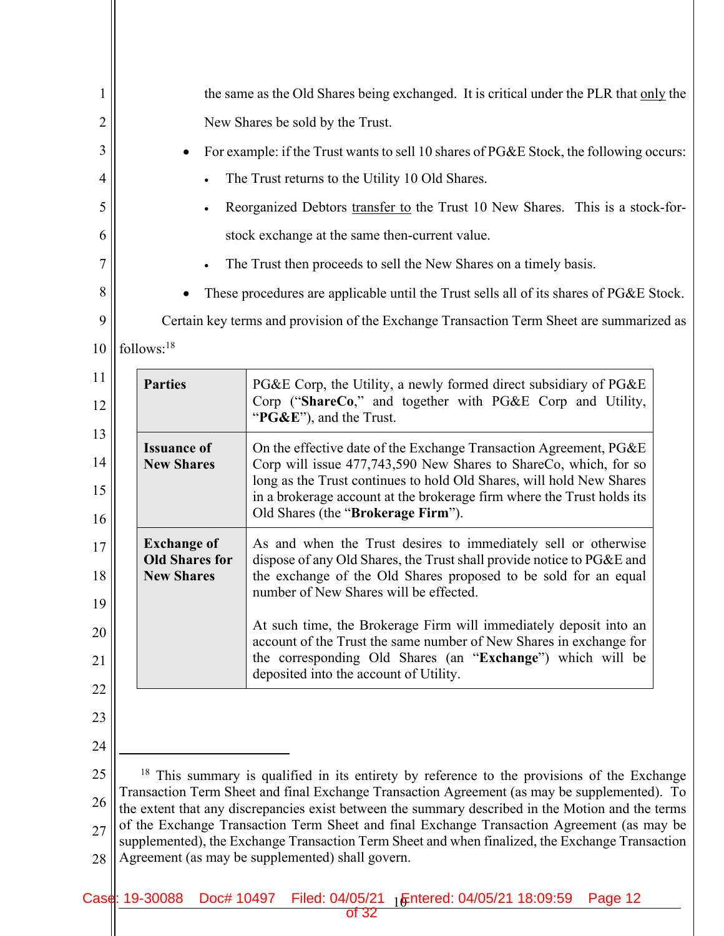| $\mathbf{1}$   | the same as the Old Shares being exchanged. It is critical under the PLR that only the                                                                                                        |                                                                  |                                                                                                                                                                                                                                                      |  |  |
|----------------|-----------------------------------------------------------------------------------------------------------------------------------------------------------------------------------------------|------------------------------------------------------------------|------------------------------------------------------------------------------------------------------------------------------------------------------------------------------------------------------------------------------------------------------|--|--|
| 2              | New Shares be sold by the Trust.                                                                                                                                                              |                                                                  |                                                                                                                                                                                                                                                      |  |  |
| 3              | For example: if the Trust wants to sell 10 shares of PG&E Stock, the following occurs:<br>٠                                                                                                   |                                                                  |                                                                                                                                                                                                                                                      |  |  |
| $\overline{4}$ |                                                                                                                                                                                               |                                                                  | The Trust returns to the Utility 10 Old Shares.                                                                                                                                                                                                      |  |  |
| 5              |                                                                                                                                                                                               |                                                                  | Reorganized Debtors transfer to the Trust 10 New Shares. This is a stock-for-                                                                                                                                                                        |  |  |
| 6              |                                                                                                                                                                                               |                                                                  | stock exchange at the same then-current value.                                                                                                                                                                                                       |  |  |
| 7              |                                                                                                                                                                                               |                                                                  | The Trust then proceeds to sell the New Shares on a timely basis.                                                                                                                                                                                    |  |  |
| $\,8\,$        |                                                                                                                                                                                               |                                                                  | These procedures are applicable until the Trust sells all of its shares of PG&E Stock.                                                                                                                                                               |  |  |
| 9              |                                                                                                                                                                                               |                                                                  | Certain key terms and provision of the Exchange Transaction Term Sheet are summarized as                                                                                                                                                             |  |  |
| 10             |                                                                                                                                                                                               | follows: <sup>18</sup>                                           |                                                                                                                                                                                                                                                      |  |  |
| 11<br>12       |                                                                                                                                                                                               | <b>Parties</b>                                                   | PG&E Corp, the Utility, a newly formed direct subsidiary of PG&E<br>Corp ("ShareCo," and together with PG&E Corp and Utility,                                                                                                                        |  |  |
| 13             |                                                                                                                                                                                               |                                                                  | "PG&E"), and the Trust.                                                                                                                                                                                                                              |  |  |
| 14             |                                                                                                                                                                                               | <b>Issuance of</b><br><b>New Shares</b>                          | On the effective date of the Exchange Transaction Agreement, PG&E<br>Corp will issue 477,743,590 New Shares to ShareCo, which, for so                                                                                                                |  |  |
| 15<br>16       |                                                                                                                                                                                               |                                                                  | long as the Trust continues to hold Old Shares, will hold New Shares<br>in a brokerage account at the brokerage firm where the Trust holds its<br>Old Shares (the "Brokerage Firm").                                                                 |  |  |
| 17<br>18<br>19 |                                                                                                                                                                                               | <b>Exchange of</b><br><b>Old Shares for</b><br><b>New Shares</b> | As and when the Trust desires to immediately sell or otherwise<br>dispose of any Old Shares, the Trust shall provide notice to PG&E and<br>the exchange of the Old Shares proposed to be sold for an equal<br>number of New Shares will be effected. |  |  |
| 20<br>21       |                                                                                                                                                                                               |                                                                  | At such time, the Brokerage Firm will immediately deposit into an<br>account of the Trust the same number of New Shares in exchange for<br>the corresponding Old Shares (an "Exchange") which will be<br>deposited into the account of Utility.      |  |  |
| 22             |                                                                                                                                                                                               |                                                                  |                                                                                                                                                                                                                                                      |  |  |
| 23             |                                                                                                                                                                                               |                                                                  |                                                                                                                                                                                                                                                      |  |  |
| 24             |                                                                                                                                                                                               |                                                                  |                                                                                                                                                                                                                                                      |  |  |
| 25             |                                                                                                                                                                                               |                                                                  | This summary is qualified in its entirety by reference to the provisions of the Exchange<br>Transaction Term Sheet and final Exchange Transaction Agreement (as may be supplemented). To                                                             |  |  |
| 26             | the extent that any discrepancies exist between the summary described in the Motion and the terms                                                                                             |                                                                  |                                                                                                                                                                                                                                                      |  |  |
| 27             | of the Exchange Transaction Term Sheet and final Exchange Transaction Agreement (as may be<br>supplemented), the Exchange Transaction Term Sheet and when finalized, the Exchange Transaction |                                                                  |                                                                                                                                                                                                                                                      |  |  |
| 28             | Agreement (as may be supplemented) shall govern.                                                                                                                                              |                                                                  |                                                                                                                                                                                                                                                      |  |  |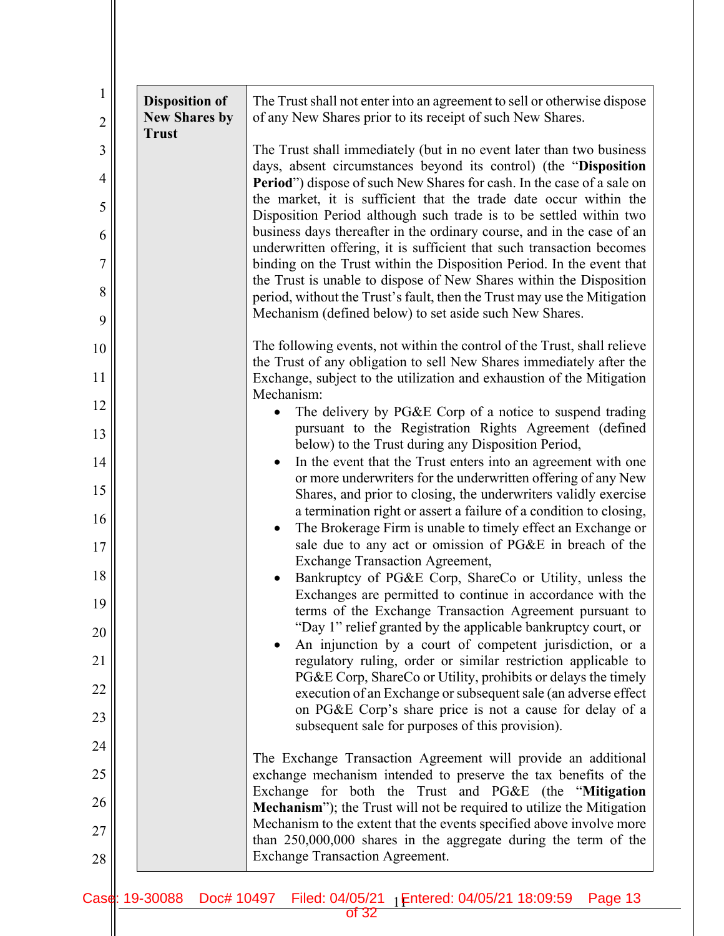| 1<br>$\overline{2}$ | <b>Disposition of</b><br><b>New Shares by</b> | The Trust shall not enter into an agreement to sell or otherwise dispose<br>of any New Shares prior to its receipt of such New Shares.           |
|---------------------|-----------------------------------------------|--------------------------------------------------------------------------------------------------------------------------------------------------|
| 3                   | <b>Trust</b>                                  | The Trust shall immediately (but in no event later than two business                                                                             |
| $\overline{4}$      |                                               | days, absent circumstances beyond its control) (the "Disposition                                                                                 |
| 5                   |                                               | Period") dispose of such New Shares for cash. In the case of a sale on<br>the market, it is sufficient that the trade date occur within the      |
|                     |                                               | Disposition Period although such trade is to be settled within two<br>business days thereafter in the ordinary course, and in the case of an     |
| 6                   |                                               | underwritten offering, it is sufficient that such transaction becomes                                                                            |
| 7                   |                                               | binding on the Trust within the Disposition Period. In the event that<br>the Trust is unable to dispose of New Shares within the Disposition     |
| 8                   |                                               | period, without the Trust's fault, then the Trust may use the Mitigation<br>Mechanism (defined below) to set aside such New Shares.              |
| 9                   |                                               |                                                                                                                                                  |
| 10                  |                                               | The following events, not within the control of the Trust, shall relieve<br>the Trust of any obligation to sell New Shares immediately after the |
| 11                  |                                               | Exchange, subject to the utilization and exhaustion of the Mitigation<br>Mechanism:                                                              |
| 12                  |                                               | The delivery by PG&E Corp of a notice to suspend trading                                                                                         |
| 13                  |                                               | pursuant to the Registration Rights Agreement (defined<br>below) to the Trust during any Disposition Period,                                     |
| 14                  |                                               | In the event that the Trust enters into an agreement with one                                                                                    |
| 15                  |                                               | or more underwriters for the underwritten offering of any New<br>Shares, and prior to closing, the underwriters validly exercise                 |
| 16                  |                                               | a termination right or assert a failure of a condition to closing,                                                                               |
| 17                  |                                               | The Brokerage Firm is unable to timely effect an Exchange or<br>sale due to any act or omission of PG&E in breach of the                         |
| 18                  |                                               | <b>Exchange Transaction Agreement,</b><br>Bankruptcy of PG&E Corp, ShareCo or Utility, unless the                                                |
| 19                  |                                               | Exchanges are permitted to continue in accordance with the                                                                                       |
| 20                  |                                               | terms of the Exchange Transaction Agreement pursuant to<br>"Day 1" relief granted by the applicable bankruptcy court, or                         |
| 21                  |                                               | An injunction by a court of competent jurisdiction, or a<br>regulatory ruling, order or similar restriction applicable to                        |
|                     |                                               | PG&E Corp, ShareCo or Utility, prohibits or delays the timely                                                                                    |
| 22                  |                                               | execution of an Exchange or subsequent sale (an adverse effect<br>on PG&E Corp's share price is not a cause for delay of a                       |
| 23                  |                                               | subsequent sale for purposes of this provision).                                                                                                 |
| 24                  |                                               | The Exchange Transaction Agreement will provide an additional                                                                                    |
| 25                  |                                               | exchange mechanism intended to preserve the tax benefits of the<br>Exchange for both the Trust and PG&E (the "Mitigation                         |
| 26                  |                                               | <b>Mechanism</b> "); the Trust will not be required to utilize the Mitigation                                                                    |
| 27                  |                                               | Mechanism to the extent that the events specified above involve more<br>than $250,000,000$ shares in the aggregate during the term of the        |
| 28                  |                                               | <b>Exchange Transaction Agreement.</b>                                                                                                           |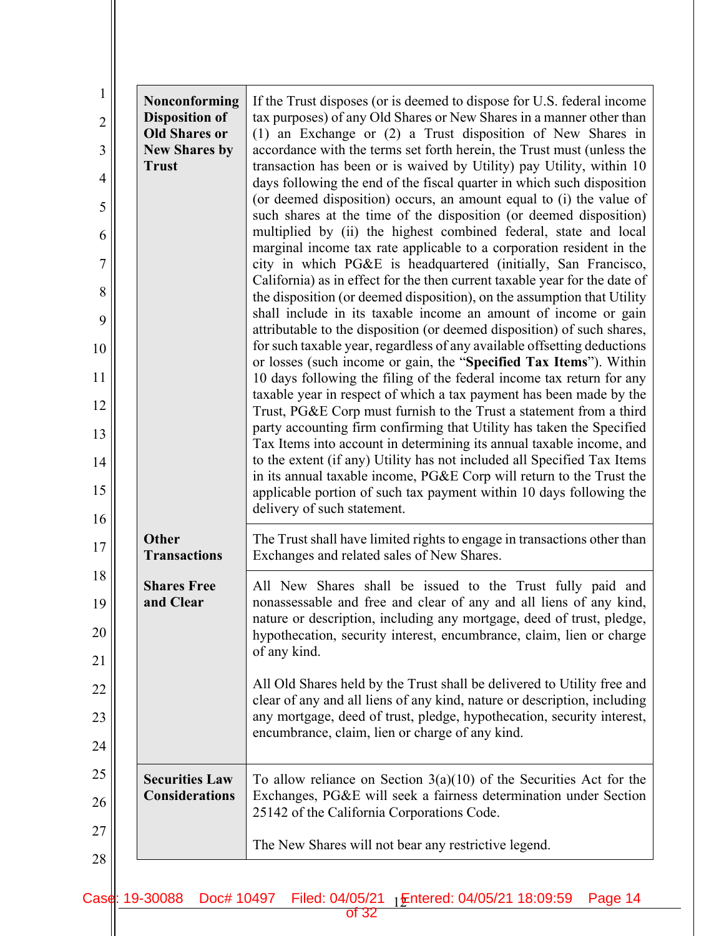| Nonconforming                                 | If the Trust disposes (or is deemed to dispose for U.S. federal income                                                                                                                                                                                                                            |
|-----------------------------------------------|---------------------------------------------------------------------------------------------------------------------------------------------------------------------------------------------------------------------------------------------------------------------------------------------------|
| <b>Disposition of</b><br><b>Old Shares or</b> | tax purposes) of any Old Shares or New Shares in a manner other than<br>(1) an Exchange or (2) a Trust disposition of New Shares in                                                                                                                                                               |
| <b>New Shares by</b>                          | accordance with the terms set forth herein, the Trust must (unless the                                                                                                                                                                                                                            |
| <b>Trust</b>                                  | transaction has been or is waived by Utility) pay Utility, within 10<br>days following the end of the fiscal quarter in which such disposition                                                                                                                                                    |
|                                               | (or deemed disposition) occurs, an amount equal to (i) the value of<br>such shares at the time of the disposition (or deemed disposition)                                                                                                                                                         |
|                                               | multiplied by (ii) the highest combined federal, state and local                                                                                                                                                                                                                                  |
|                                               | marginal income tax rate applicable to a corporation resident in the<br>city in which PG&E is headquartered (initially, San Francisco,                                                                                                                                                            |
|                                               | California) as in effect for the then current taxable year for the date of<br>the disposition (or deemed disposition), on the assumption that Utility                                                                                                                                             |
|                                               | shall include in its taxable income an amount of income or gain<br>attributable to the disposition (or deemed disposition) of such shares,                                                                                                                                                        |
|                                               | for such taxable year, regardless of any available offsetting deductions                                                                                                                                                                                                                          |
|                                               | or losses (such income or gain, the "Specified Tax Items"). Within<br>10 days following the filing of the federal income tax return for any                                                                                                                                                       |
|                                               | taxable year in respect of which a tax payment has been made by the<br>Trust, PG&E Corp must furnish to the Trust a statement from a third                                                                                                                                                        |
|                                               | party accounting firm confirming that Utility has taken the Specified                                                                                                                                                                                                                             |
|                                               | Tax Items into account in determining its annual taxable income, and<br>to the extent (if any) Utility has not included all Specified Tax Items                                                                                                                                                   |
|                                               | in its annual taxable income, PG&E Corp will return to the Trust the<br>applicable portion of such tax payment within 10 days following the                                                                                                                                                       |
|                                               | delivery of such statement.                                                                                                                                                                                                                                                                       |
| <b>Other</b><br><b>Transactions</b>           | The Trust shall have limited rights to engage in transactions other than<br>Exchanges and related sales of New Shares.                                                                                                                                                                            |
| <b>Shares Free</b><br>and Clear               | All New Shares shall be issued to the Trust fully paid and<br>nonassessable and free and clear of any and all liens of any kind,<br>nature or description, including any mortgage, deed of trust, pledge,<br>hypothecation, security interest, encumbrance, claim, lien or charge<br>of any kind. |
|                                               | All Old Shares held by the Trust shall be delivered to Utility free and                                                                                                                                                                                                                           |
|                                               | clear of any and all liens of any kind, nature or description, including<br>any mortgage, deed of trust, pledge, hypothecation, security interest,                                                                                                                                                |
|                                               | encumbrance, claim, lien or charge of any kind.                                                                                                                                                                                                                                                   |
| <b>Securities Law</b>                         | To allow reliance on Section $3(a)(10)$ of the Securities Act for the                                                                                                                                                                                                                             |
| <b>Considerations</b>                         | Exchanges, PG&E will seek a fairness determination under Section<br>25142 of the California Corporations Code.                                                                                                                                                                                    |
|                                               | The New Shares will not bear any restrictive legend.                                                                                                                                                                                                                                              |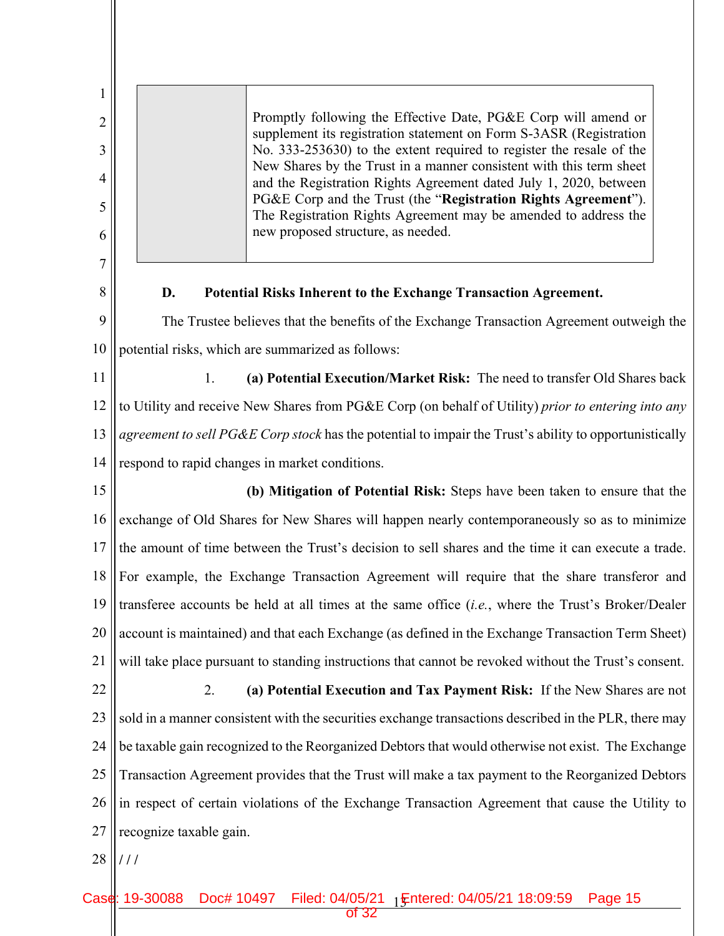1 2 3 4 5 6 7 8 9 10 11 12 13 14 15 16 17 18 19 20 21 22 23 24 25 26 27 28 Promptly following the Effective Date, PG&E Corp will amend or supplement its registration statement on Form S-3ASR (Registration No. 333-253630) to the extent required to register the resale of the New Shares by the Trust in a manner consistent with this term sheet and the Registration Rights Agreement dated July 1, 2020, between PG&E Corp and the Trust (the "**Registration Rights Agreement**"). The Registration Rights Agreement may be amended to address the new proposed structure, as needed. **D. Potential Risks Inherent to the Exchange Transaction Agreement.**  The Trustee believes that the benefits of the Exchange Transaction Agreement outweigh the potential risks, which are summarized as follows: 1. **(a) Potential Execution/Market Risk:** The need to transfer Old Shares back to Utility and receive New Shares from PG&E Corp (on behalf of Utility) *prior to entering into any agreement to sell PG&E Corp stock* has the potential to impair the Trust's ability to opportunistically respond to rapid changes in market conditions. **(b) Mitigation of Potential Risk:** Steps have been taken to ensure that the exchange of Old Shares for New Shares will happen nearly contemporaneously so as to minimize the amount of time between the Trust's decision to sell shares and the time it can execute a trade. For example, the Exchange Transaction Agreement will require that the share transferor and transferee accounts be held at all times at the same office (*i.e.*, where the Trust's Broker/Dealer account is maintained) and that each Exchange (as defined in the Exchange Transaction Term Sheet) will take place pursuant to standing instructions that cannot be revoked without the Trust's consent. 2. **(a) Potential Execution and Tax Payment Risk:** If the New Shares are not sold in a manner consistent with the securities exchange transactions described in the PLR, there may be taxable gain recognized to the Reorganized Debtors that would otherwise not exist. The Exchange Transaction Agreement provides that the Trust will make a tax payment to the Reorganized Debtors in respect of certain violations of the Exchange Transaction Agreement that cause the Utility to recognize taxable gain. **/ / /**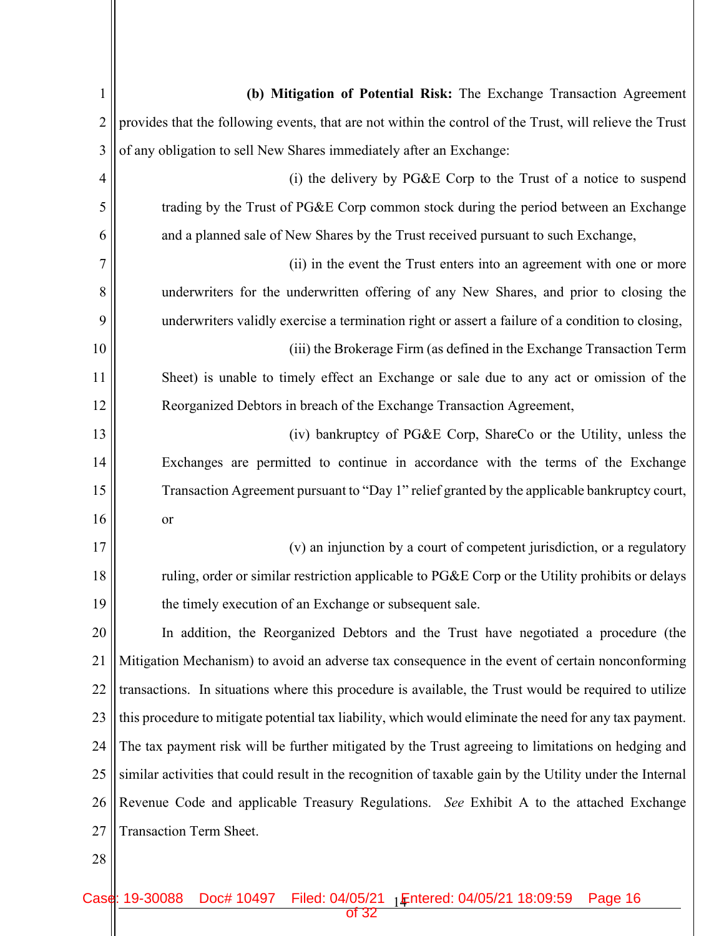| 1              | (b) Mitigation of Potential Risk: The Exchange Transaction Agreement                                      |
|----------------|-----------------------------------------------------------------------------------------------------------|
| $\overline{2}$ | provides that the following events, that are not within the control of the Trust, will relieve the Trust  |
| 3              | of any obligation to sell New Shares immediately after an Exchange:                                       |
| $\overline{4}$ | (i) the delivery by PG&E Corp to the Trust of a notice to suspend                                         |
| 5              | trading by the Trust of PG&E Corp common stock during the period between an Exchange                      |
| 6              | and a planned sale of New Shares by the Trust received pursuant to such Exchange,                         |
| 7              | (ii) in the event the Trust enters into an agreement with one or more                                     |
| 8              | underwriters for the underwritten offering of any New Shares, and prior to closing the                    |
| 9              | underwriters validly exercise a termination right or assert a failure of a condition to closing,          |
| 10             | (iii) the Brokerage Firm (as defined in the Exchange Transaction Term                                     |
| 11             | Sheet) is unable to timely effect an Exchange or sale due to any act or omission of the                   |
| 12             | Reorganized Debtors in breach of the Exchange Transaction Agreement,                                      |
| 13             | (iv) bankruptcy of PG&E Corp, ShareCo or the Utility, unless the                                          |
| 14             | Exchanges are permitted to continue in accordance with the terms of the Exchange                          |
| 15             | Transaction Agreement pursuant to "Day 1" relief granted by the applicable bankruptcy court,              |
| 16             | <b>or</b>                                                                                                 |
| 17             | (v) an injunction by a court of competent jurisdiction, or a regulatory                                   |
| 18             | ruling, order or similar restriction applicable to PG&E Corp or the Utility prohibits or delays           |
| 19             | the timely execution of an Exchange or subsequent sale.                                                   |
| 20             | In addition, the Reorganized Debtors and the Trust have negotiated a procedure (the                       |
| 21             | Mitigation Mechanism) to avoid an adverse tax consequence in the event of certain nonconforming           |
| 22             | transactions. In situations where this procedure is available, the Trust would be required to utilize     |
| 23             | this procedure to mitigate potential tax liability, which would eliminate the need for any tax payment.   |
| 24             | The tax payment risk will be further mitigated by the Trust agreeing to limitations on hedging and        |
| 25             | similar activities that could result in the recognition of taxable gain by the Utility under the Internal |
| 26             | Revenue Code and applicable Treasury Regulations. See Exhibit A to the attached Exchange                  |
| 27             | Transaction Term Sheet.                                                                                   |
| 28             |                                                                                                           |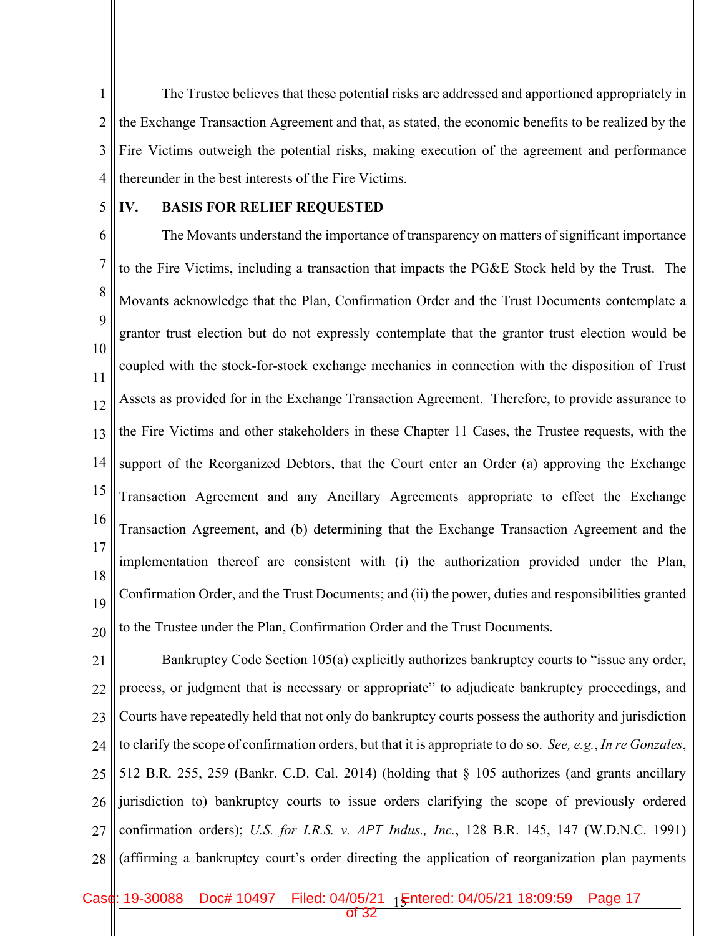1 2 3 4 The Trustee believes that these potential risks are addressed and apportioned appropriately in the Exchange Transaction Agreement and that, as stated, the economic benefits to be realized by the Fire Victims outweigh the potential risks, making execution of the agreement and performance thereunder in the best interests of the Fire Victims.

5

#### **IV. BASIS FOR RELIEF REQUESTED**

6 7 8 9 10 11 12 13 14 15 16 17 18 19 20 The Movants understand the importance of transparency on matters of significant importance to the Fire Victims, including a transaction that impacts the PG&E Stock held by the Trust. The Movants acknowledge that the Plan, Confirmation Order and the Trust Documents contemplate a grantor trust election but do not expressly contemplate that the grantor trust election would be coupled with the stock-for-stock exchange mechanics in connection with the disposition of Trust Assets as provided for in the Exchange Transaction Agreement. Therefore, to provide assurance to the Fire Victims and other stakeholders in these Chapter 11 Cases, the Trustee requests, with the support of the Reorganized Debtors, that the Court enter an Order (a) approving the Exchange Transaction Agreement and any Ancillary Agreements appropriate to effect the Exchange Transaction Agreement, and (b) determining that the Exchange Transaction Agreement and the implementation thereof are consistent with (i) the authorization provided under the Plan, Confirmation Order, and the Trust Documents; and (ii) the power, duties and responsibilities granted to the Trustee under the Plan, Confirmation Order and the Trust Documents.

21 22 23 24 25 26 27 28 Bankruptcy Code Section 105(a) explicitly authorizes bankruptcy courts to "issue any order, process, or judgment that is necessary or appropriate" to adjudicate bankruptcy proceedings, and Courts have repeatedly held that not only do bankruptcy courts possess the authority and jurisdiction to clarify the scope of confirmation orders, but that it is appropriate to do so. *See, e.g.*, *In re Gonzales*, 512 B.R. 255, 259 (Bankr. C.D. Cal. 2014) (holding that § 105 authorizes (and grants ancillary jurisdiction to) bankruptcy courts to issue orders clarifying the scope of previously ordered confirmation orders); *U.S. for I.R.S. v. APT Indus., Inc.*, 128 B.R. 145, 147 (W.D.N.C. 1991) (affirming a bankruptcy court's order directing the application of reorganization plan payments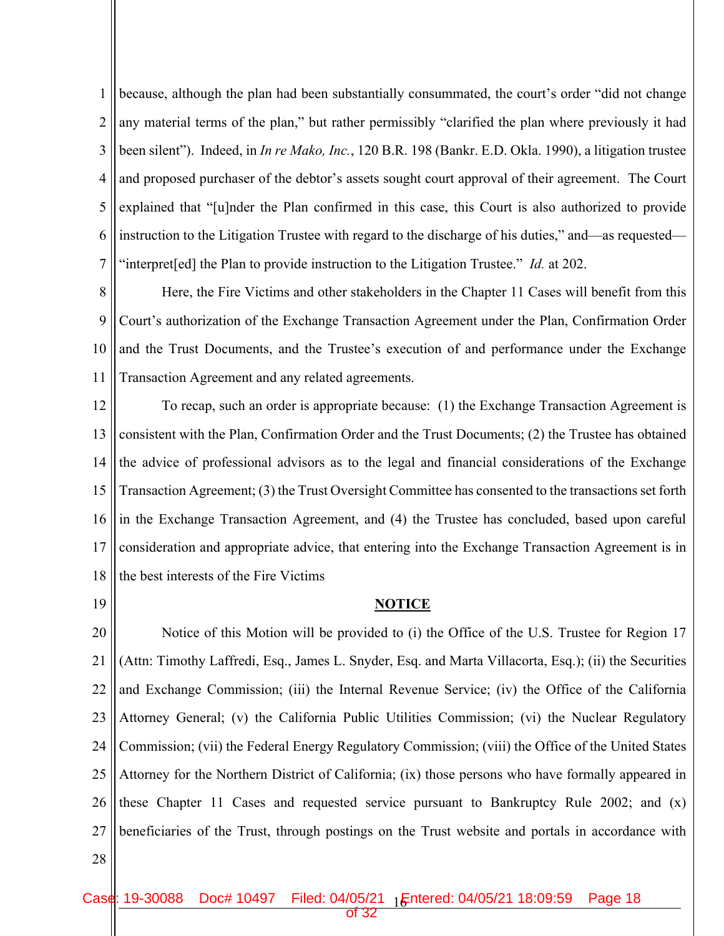1 2 3 4 5 6 7 because, although the plan had been substantially consummated, the court's order "did not change any material terms of the plan," but rather permissibly "clarified the plan where previously it had been silent"). Indeed, in *In re Mako, Inc.*, 120 B.R. 198 (Bankr. E.D. Okla. 1990), a litigation trustee and proposed purchaser of the debtor's assets sought court approval of their agreement. The Court explained that "[u]nder the Plan confirmed in this case, this Court is also authorized to provide instruction to the Litigation Trustee with regard to the discharge of his duties," and—as requested— "interpret[ed] the Plan to provide instruction to the Litigation Trustee." *Id.* at 202.

8 9 10 11 Here, the Fire Victims and other stakeholders in the Chapter 11 Cases will benefit from this Court's authorization of the Exchange Transaction Agreement under the Plan, Confirmation Order and the Trust Documents, and the Trustee's execution of and performance under the Exchange Transaction Agreement and any related agreements.

12 13 14 15 16 17 18 To recap, such an order is appropriate because: (1) the Exchange Transaction Agreement is consistent with the Plan, Confirmation Order and the Trust Documents; (2) the Trustee has obtained the advice of professional advisors as to the legal and financial considerations of the Exchange Transaction Agreement; (3) the Trust Oversight Committee has consented to the transactions set forth in the Exchange Transaction Agreement, and (4) the Trustee has concluded, based upon careful consideration and appropriate advice, that entering into the Exchange Transaction Agreement is in the best interests of the Fire Victims

19

### **NOTICE**

20 21 22 23 24 25 26 27 Notice of this Motion will be provided to (i) the Office of the U.S. Trustee for Region 17 (Attn: Timothy Laffredi, Esq., James L. Snyder, Esq. and Marta Villacorta, Esq.); (ii) the Securities and Exchange Commission; (iii) the Internal Revenue Service; (iv) the Office of the California Attorney General; (v) the California Public Utilities Commission; (vi) the Nuclear Regulatory Commission; (vii) the Federal Energy Regulatory Commission; (viii) the Office of the United States Attorney for the Northern District of California; (ix) those persons who have formally appeared in these Chapter 11 Cases and requested service pursuant to Bankruptcy Rule 2002; and  $(x)$ beneficiaries of the Trust, through postings on the Trust website and portals in accordance with

28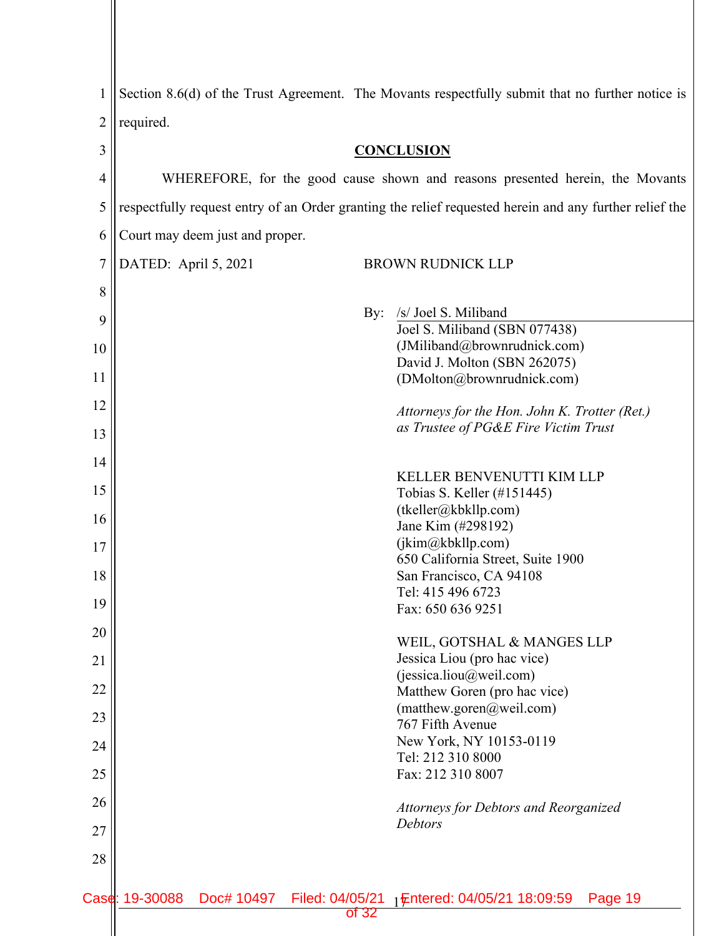| $\mathbf{1}$   | Section 8.6(d) of the Trust Agreement. The Movants respectfully submit that no further notice is       |  |  |  |
|----------------|--------------------------------------------------------------------------------------------------------|--|--|--|
| $\overline{2}$ | required.                                                                                              |  |  |  |
| $\overline{3}$ | <b>CONCLUSION</b>                                                                                      |  |  |  |
| $\overline{4}$ | WHEREFORE, for the good cause shown and reasons presented herein, the Movants                          |  |  |  |
| 5              | respectfully request entry of an Order granting the relief requested herein and any further relief the |  |  |  |
| 6              | Court may deem just and proper.                                                                        |  |  |  |
| $\overline{7}$ | DATED: April 5, 2021<br><b>BROWN RUDNICK LLP</b>                                                       |  |  |  |
| 8              |                                                                                                        |  |  |  |
| 9              | /s/ Joel S. Miliband<br>By:                                                                            |  |  |  |
|                | Joel S. Miliband (SBN 077438)                                                                          |  |  |  |
| 10             | (JMiliband@brownrudnick.com)<br>David J. Molton (SBN 262075)                                           |  |  |  |
| 11             | (DMolton@brownrudnick.com)                                                                             |  |  |  |
| 12             | Attorneys for the Hon. John K. Trotter (Ret.)                                                          |  |  |  |
| 13             | as Trustee of PG&E Fire Victim Trust                                                                   |  |  |  |
| 14             |                                                                                                        |  |  |  |
| 15             | KELLER BENVENUTTI KIM LLP<br>Tobias S. Keller (#151445)                                                |  |  |  |
|                | (tkeller@kbkllp.com)                                                                                   |  |  |  |
| 16             | Jane Kim (#298192)                                                                                     |  |  |  |
| 17             | (jkim@kbkllp.com)                                                                                      |  |  |  |
|                | 650 California Street, Suite 1900                                                                      |  |  |  |
| 18             | San Francisco, CA 94108                                                                                |  |  |  |
| 19             | Tel: 415 496 6723<br>Fax: 650 636 9251                                                                 |  |  |  |
| 20             |                                                                                                        |  |  |  |
| 21             | WEIL, GOTSHAL & MANGES LLP<br>Jessica Liou (pro hac vice)                                              |  |  |  |
|                | (jessica.liou@weil.com)                                                                                |  |  |  |
| 22             | Matthew Goren (pro hac vice)                                                                           |  |  |  |
| 23             | (matthew.goren@weil.com)<br>767 Fifth Avenue                                                           |  |  |  |
| 24             | New York, NY 10153-0119                                                                                |  |  |  |
| 25             | Tel: 212 310 8000<br>Fax: 212 310 8007                                                                 |  |  |  |
| 26             | Attorneys for Debtors and Reorganized                                                                  |  |  |  |
| 27             | Debtors                                                                                                |  |  |  |
| 28             |                                                                                                        |  |  |  |
|                |                                                                                                        |  |  |  |
|                | Case: 19-30088<br>Doc# 10497<br>Filed: 04/05/21 1 Entered: 04/05/21 18:09:59<br>Page 19                |  |  |  |
|                | of 32                                                                                                  |  |  |  |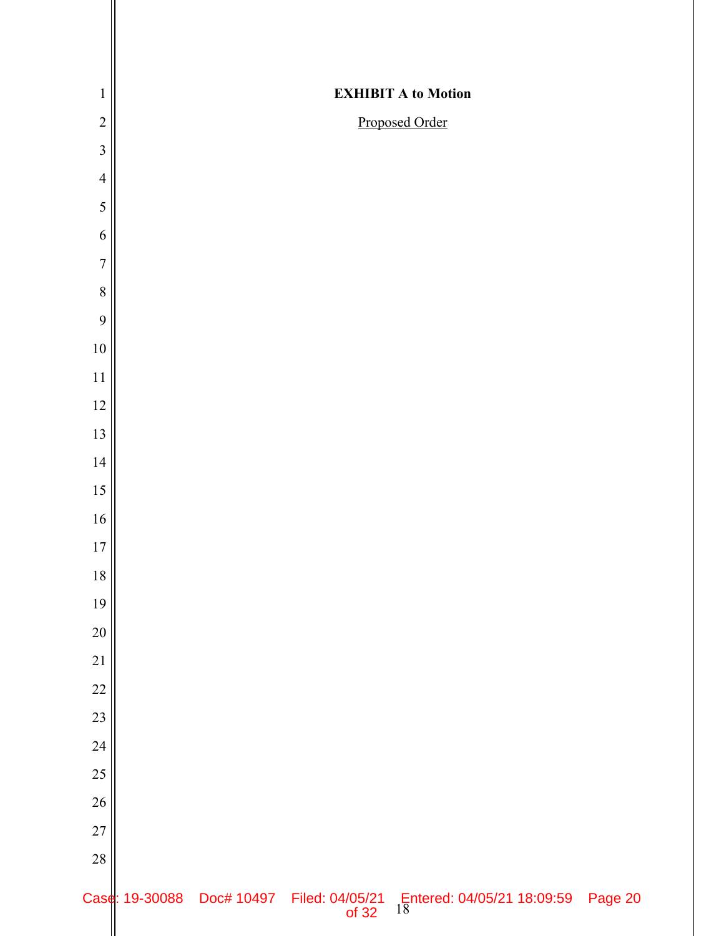| $\mathbf{1}$   |                |                                     | <b>EXHIBIT A to Motion</b> |         |
|----------------|----------------|-------------------------------------|----------------------------|---------|
| $\overline{2}$ |                |                                     | Proposed Order             |         |
| $\overline{3}$ |                |                                     |                            |         |
| $\overline{4}$ |                |                                     |                            |         |
| 5              |                |                                     |                            |         |
| 6              |                |                                     |                            |         |
| $\overline{7}$ |                |                                     |                            |         |
| $\,8\,$        |                |                                     |                            |         |
| 9              |                |                                     |                            |         |
| $10\,$         |                |                                     |                            |         |
| $11\,$         |                |                                     |                            |         |
| $12\,$         |                |                                     |                            |         |
| 13             |                |                                     |                            |         |
| 14             |                |                                     |                            |         |
| 15             |                |                                     |                            |         |
| 16             |                |                                     |                            |         |
| $17\,$         |                |                                     |                            |         |
| $18\,$         |                |                                     |                            |         |
| 19             |                |                                     |                            |         |
| $20\,$         |                |                                     |                            |         |
| 21             |                |                                     |                            |         |
| $22\,$         |                |                                     |                            |         |
| $23\,$         |                |                                     |                            |         |
| $24\,$         |                |                                     |                            |         |
| $25\,$         |                |                                     |                            |         |
| $26\,$         |                |                                     |                            |         |
| $27\,$         |                |                                     |                            |         |
| $28\,$         |                |                                     |                            |         |
|                | Case: 19-30088 | Doc# 10497 Filed: 04/05/21<br>of 32 | Entered: 04/05/21 18:09:59 | Page 20 |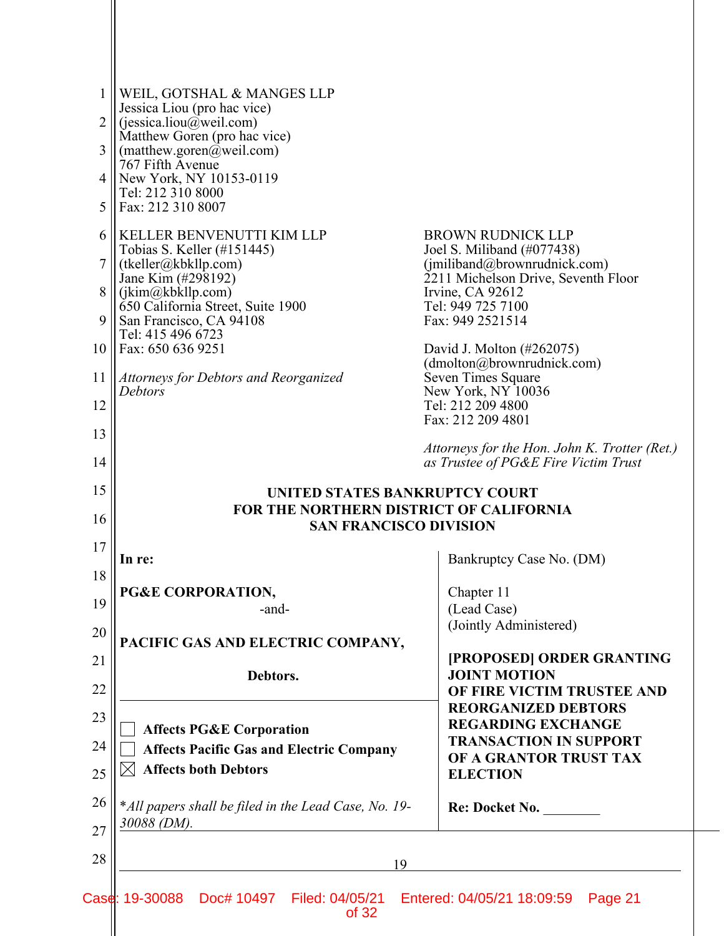| $\mathbf{1}$   | WEIL, GOTSHAL & MANGES LLP                                                        |                                                                                       |  |  |
|----------------|-----------------------------------------------------------------------------------|---------------------------------------------------------------------------------------|--|--|
| $\overline{2}$ | Jessica Liou (pro hac vice)<br>$($ iessica.liou@weil.com $)$                      |                                                                                       |  |  |
| 3              | Matthew Goren (pro hac vice)<br>(mattlew.goren@weil.com)                          |                                                                                       |  |  |
|                | 767 Fifth Avenue                                                                  |                                                                                       |  |  |
| 4              | New York, NY 10153-0119<br>Tel: 212 310 8000                                      |                                                                                       |  |  |
| 5              | Fax: 212 310 8007                                                                 |                                                                                       |  |  |
| 6              | KELLER BENVENUTTI KIM LLP                                                         | <b>BROWN RUDNICK LLP</b>                                                              |  |  |
| 7              | Tobias S. Keller (#151445)<br>(tkeller@kbkllp.com)                                | Joel S. Miliband (#077438)<br>(jmiliband@brownrudnick.com)                            |  |  |
| 8              | Jane Kim (#298192)<br>(jkim@kbkllp.com)                                           | 2211 Michelson Drive, Seventh Floor<br>Irvine, CA 92612                               |  |  |
| 9              | 650 California Street, Suite 1900                                                 | Tel: 949 725 7100<br>Fax: 949 2521514                                                 |  |  |
|                | San Francisco, CA 94108<br>Tel: 415 496 6723                                      |                                                                                       |  |  |
| 10             | Fax: 650 636 9251                                                                 | David J. Molton (#262075)<br>(dmolton@brownrudnick.com)                               |  |  |
| 11             | Attorneys for Debtors and Reorganized<br><b>Debtors</b>                           | Seven Times Square<br>New York, NY 10036                                              |  |  |
| 12             |                                                                                   | Tel: 212 209 4800                                                                     |  |  |
| 13             |                                                                                   | Fax: 212 209 4801                                                                     |  |  |
| 14             |                                                                                   | Attorneys for the Hon. John K. Trotter (Ret.)<br>as Trustee of PG&E Fire Victim Trust |  |  |
| 15             | UNITED STATES BANKRUPTCY COURT                                                    |                                                                                       |  |  |
|                | FOR THE NORTHERN DISTRICT OF CALIFORNIA                                           |                                                                                       |  |  |
| 16             | <b>SAN FRANCISCO DIVISION</b>                                                     |                                                                                       |  |  |
| 17             | In re:                                                                            | Bankruptcy Case No. (DM)                                                              |  |  |
| 18             |                                                                                   |                                                                                       |  |  |
| 19             | <b>PG&amp;E CORPORATION,</b><br>-and-                                             | Chapter 11<br>(Lead Case)                                                             |  |  |
| 20             |                                                                                   | (Jointly Administered)                                                                |  |  |
| 21             | PACIFIC GAS AND ELECTRIC COMPANY,                                                 | [PROPOSED] ORDER GRANTING                                                             |  |  |
|                | Debtors.                                                                          | <b>JOINT MOTION</b>                                                                   |  |  |
| 22             |                                                                                   | OF FIRE VICTIM TRUSTEE AND<br><b>REORGANIZED DEBTORS</b>                              |  |  |
| 23             | <b>Affects PG&amp;E Corporation</b>                                               | <b>REGARDING EXCHANGE</b>                                                             |  |  |
| 24             | <b>Affects Pacific Gas and Electric Company</b>                                   | <b>TRANSACTION IN SUPPORT</b><br>OF A GRANTOR TRUST TAX                               |  |  |
| 25             | <b>Affects both Debtors</b>                                                       | <b>ELECTION</b>                                                                       |  |  |
| 26             | *All papers shall be filed in the Lead Case, No. 19-                              | <b>Re: Docket No.</b>                                                                 |  |  |
| 27             | 30088 (DM).                                                                       |                                                                                       |  |  |
| 28             | 19                                                                                |                                                                                       |  |  |
|                |                                                                                   |                                                                                       |  |  |
|                | Case: 19-30088  Doc# 10497  Filed: 04/05/21  Entered: 04/05/21  18:09:59<br>of 32 | Page 21                                                                               |  |  |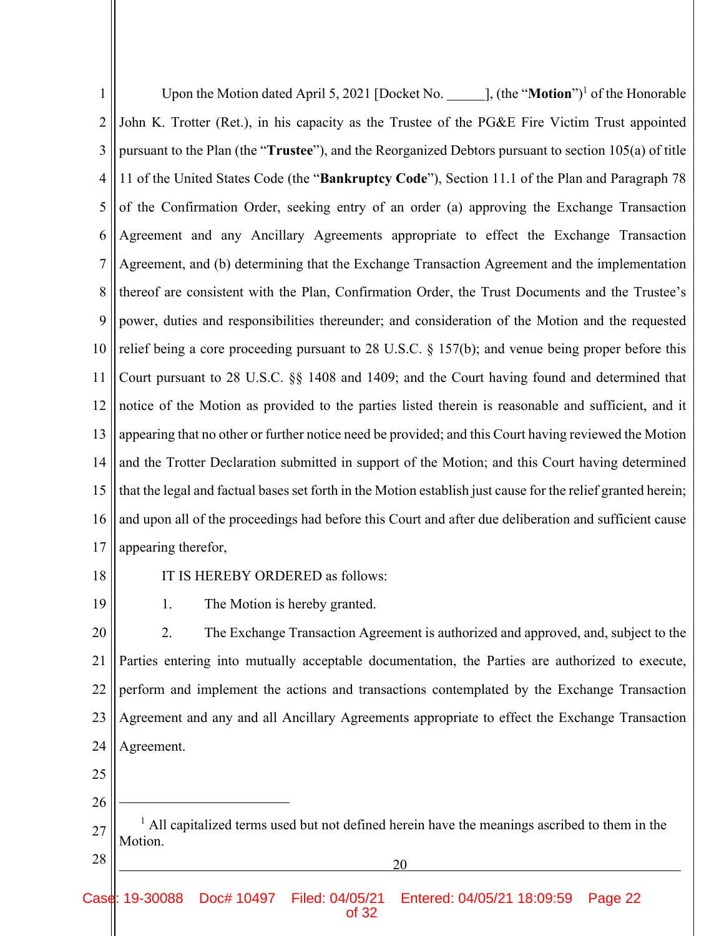1 2 3 4 5 6 7 8 9 10 11 12 13 14 15 16 17 Upon the Motion dated April 5, 2021 [Docket No. 100], (the "**Motion**")<sup>1</sup> of the Honorable John K. Trotter (Ret.), in his capacity as the Trustee of the PG&E Fire Victim Trust appointed pursuant to the Plan (the "**Trustee**"), and the Reorganized Debtors pursuant to section 105(a) of title 11 of the United States Code (the "**Bankruptcy Code**"), Section 11.1 of the Plan and Paragraph 78 of the Confirmation Order, seeking entry of an order (a) approving the Exchange Transaction Agreement and any Ancillary Agreements appropriate to effect the Exchange Transaction Agreement, and (b) determining that the Exchange Transaction Agreement and the implementation thereof are consistent with the Plan, Confirmation Order, the Trust Documents and the Trustee's power, duties and responsibilities thereunder; and consideration of the Motion and the requested relief being a core proceeding pursuant to 28 U.S.C. § 157(b); and venue being proper before this Court pursuant to 28 U.S.C. §§ 1408 and 1409; and the Court having found and determined that notice of the Motion as provided to the parties listed therein is reasonable and sufficient, and it appearing that no other or further notice need be provided; and this Court having reviewed the Motion and the Trotter Declaration submitted in support of the Motion; and this Court having determined that the legal and factual bases set forth in the Motion establish just cause for the relief granted herein; and upon all of the proceedings had before this Court and after due deliberation and sufficient cause appearing therefor,

- 18
- 19

IT IS HEREBY ORDERED as follows:

1. The Motion is hereby granted.

20 21 22 23 24 2. The Exchange Transaction Agreement is authorized and approved, and, subject to the Parties entering into mutually acceptable documentation, the Parties are authorized to execute, perform and implement the actions and transactions contemplated by the Exchange Transaction Agreement and any and all Ancillary Agreements appropriate to effect the Exchange Transaction Agreement.

- 25
- 26

<sup>27</sup> <sup>1</sup> All capitalized terms used but not defined herein have the meanings ascribed to them in the Motion.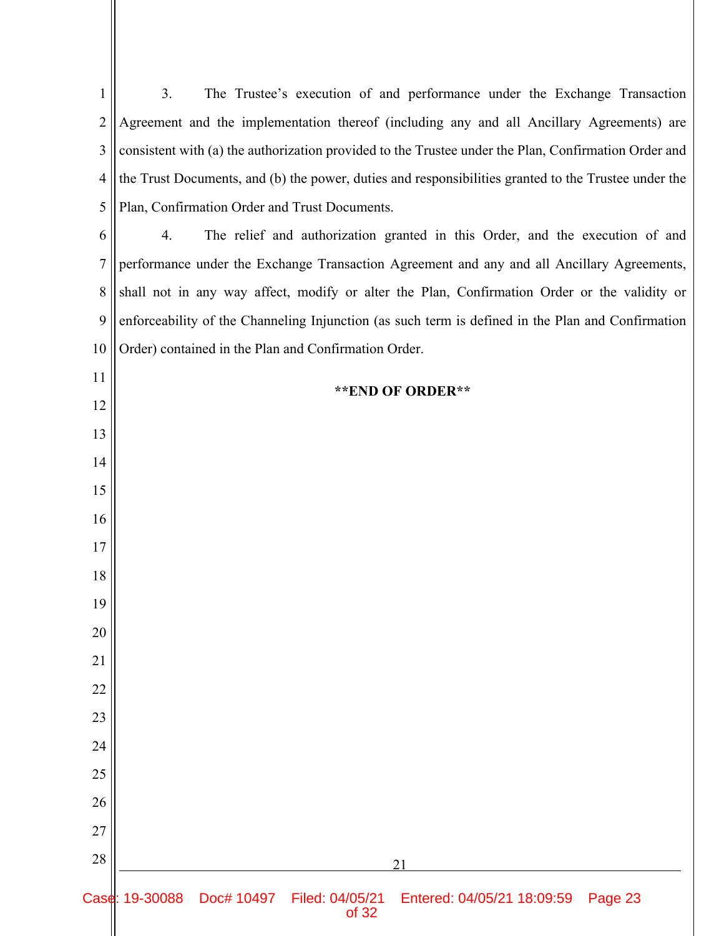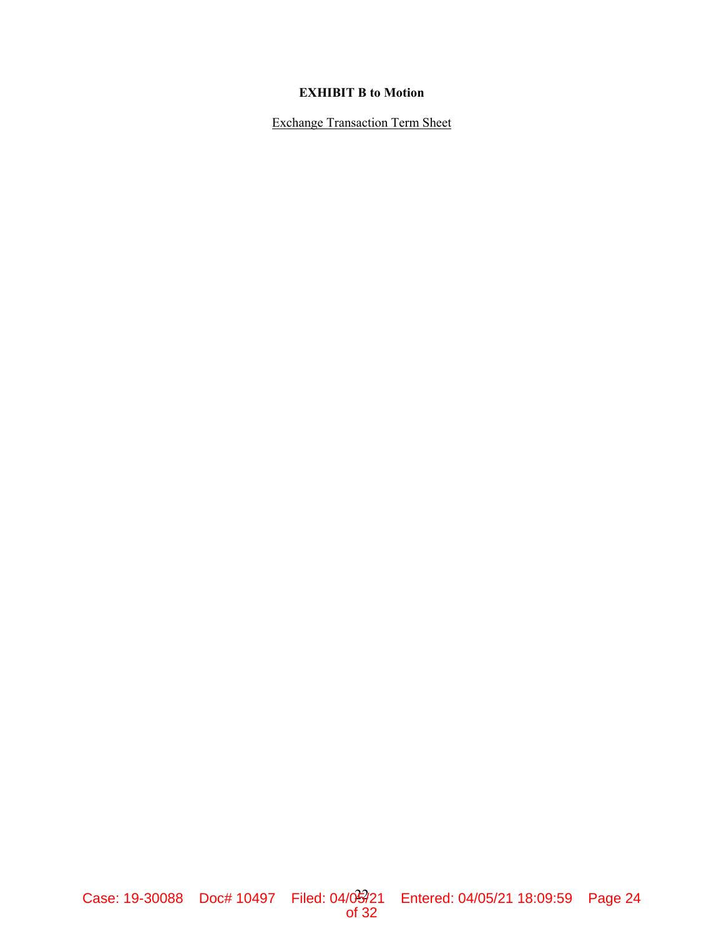## **EXHIBIT B to Motion**

Exchange Transaction Term Sheet

Case: 19-30088 Doc# 10497 Filed: 04/03/21 Entered: 04/05/21 18:09:59 Page 24 of 32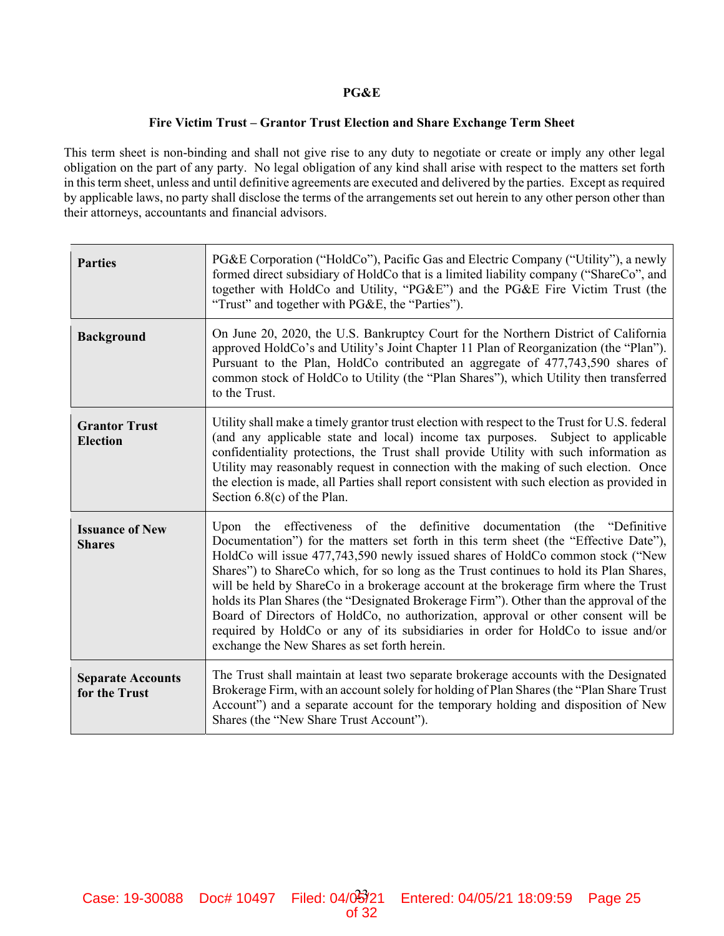#### **PG&E**

## **Fire Victim Trust – Grantor Trust Election and Share Exchange Term Sheet**

This term sheet is non-binding and shall not give rise to any duty to negotiate or create or imply any other legal obligation on the part of any party. No legal obligation of any kind shall arise with respect to the matters set forth in this term sheet, unless and until definitive agreements are executed and delivered by the parties. Except as required by applicable laws, no party shall disclose the terms of the arrangements set out herein to any other person other than their attorneys, accountants and financial advisors.

| <b>Parties</b>                            | PG&E Corporation ("HoldCo"), Pacific Gas and Electric Company ("Utility"), a newly<br>formed direct subsidiary of HoldCo that is a limited liability company ("ShareCo", and<br>together with HoldCo and Utility, "PG&E") and the PG&E Fire Victim Trust (the<br>"Trust" and together with PG&E, the "Parties").                                                                                                                                                                                                                                                                                                                                                                                                                                         |
|-------------------------------------------|----------------------------------------------------------------------------------------------------------------------------------------------------------------------------------------------------------------------------------------------------------------------------------------------------------------------------------------------------------------------------------------------------------------------------------------------------------------------------------------------------------------------------------------------------------------------------------------------------------------------------------------------------------------------------------------------------------------------------------------------------------|
| <b>Background</b>                         | On June 20, 2020, the U.S. Bankruptcy Court for the Northern District of California<br>approved HoldCo's and Utility's Joint Chapter 11 Plan of Reorganization (the "Plan").<br>Pursuant to the Plan, HoldCo contributed an aggregate of 477,743,590 shares of<br>common stock of HoldCo to Utility (the "Plan Shares"), which Utility then transferred<br>to the Trust.                                                                                                                                                                                                                                                                                                                                                                                 |
| <b>Grantor Trust</b><br><b>Election</b>   | Utility shall make a timely grantor trust election with respect to the Trust for U.S. federal<br>(and any applicable state and local) income tax purposes. Subject to applicable<br>confidentiality protections, the Trust shall provide Utility with such information as<br>Utility may reasonably request in connection with the making of such election. Once<br>the election is made, all Parties shall report consistent with such election as provided in<br>Section $6.8(c)$ of the Plan.                                                                                                                                                                                                                                                         |
| <b>Issuance of New</b><br><b>Shares</b>   | Upon the effectiveness of the definitive documentation (the "Definitive<br>Documentation") for the matters set forth in this term sheet (the "Effective Date"),<br>HoldCo will issue 477,743,590 newly issued shares of HoldCo common stock ("New<br>Shares") to ShareCo which, for so long as the Trust continues to hold its Plan Shares,<br>will be held by ShareCo in a brokerage account at the brokerage firm where the Trust<br>holds its Plan Shares (the "Designated Brokerage Firm"). Other than the approval of the<br>Board of Directors of HoldCo, no authorization, approval or other consent will be<br>required by HoldCo or any of its subsidiaries in order for HoldCo to issue and/or<br>exchange the New Shares as set forth herein. |
| <b>Separate Accounts</b><br>for the Trust | The Trust shall maintain at least two separate brokerage accounts with the Designated<br>Brokerage Firm, with an account solely for holding of Plan Shares (the "Plan Share Trust<br>Account") and a separate account for the temporary holding and disposition of New<br>Shares (the "New Share Trust Account").                                                                                                                                                                                                                                                                                                                                                                                                                                        |

Case: 19-30088 Doc# 10497 Filed: 04/03/21 Entered: 04/05/21 18:09:59 Page 25 of 32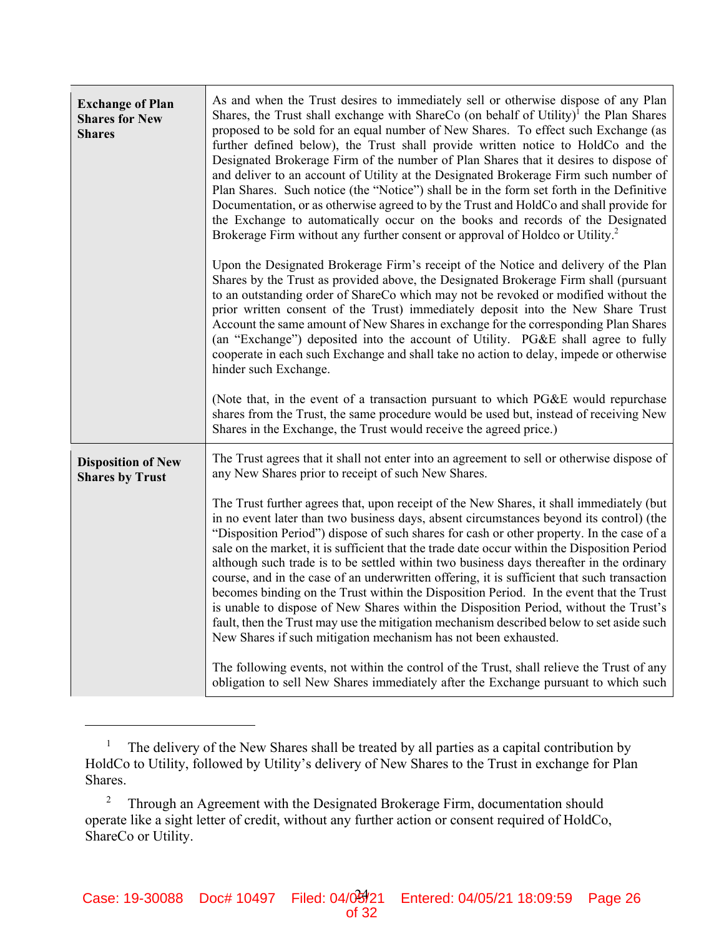| <b>Exchange of Plan</b><br><b>Shares for New</b><br><b>Shares</b> | As and when the Trust desires to immediately sell or otherwise dispose of any Plan<br>Shares, the Trust shall exchange with ShareCo (on behalf of Utility) <sup>1</sup> the Plan Shares<br>proposed to be sold for an equal number of New Shares. To effect such Exchange (as<br>further defined below), the Trust shall provide written notice to HoldCo and the<br>Designated Brokerage Firm of the number of Plan Shares that it desires to dispose of<br>and deliver to an account of Utility at the Designated Brokerage Firm such number of<br>Plan Shares. Such notice (the "Notice") shall be in the form set forth in the Definitive<br>Documentation, or as otherwise agreed to by the Trust and HoldCo and shall provide for<br>the Exchange to automatically occur on the books and records of the Designated<br>Brokerage Firm without any further consent or approval of Holdco or Utility. <sup>2</sup>                                                                                                      |
|-------------------------------------------------------------------|-----------------------------------------------------------------------------------------------------------------------------------------------------------------------------------------------------------------------------------------------------------------------------------------------------------------------------------------------------------------------------------------------------------------------------------------------------------------------------------------------------------------------------------------------------------------------------------------------------------------------------------------------------------------------------------------------------------------------------------------------------------------------------------------------------------------------------------------------------------------------------------------------------------------------------------------------------------------------------------------------------------------------------|
|                                                                   | Upon the Designated Brokerage Firm's receipt of the Notice and delivery of the Plan<br>Shares by the Trust as provided above, the Designated Brokerage Firm shall (pursuant<br>to an outstanding order of ShareCo which may not be revoked or modified without the<br>prior written consent of the Trust) immediately deposit into the New Share Trust<br>Account the same amount of New Shares in exchange for the corresponding Plan Shares<br>(an "Exchange") deposited into the account of Utility. PG&E shall agree to fully<br>cooperate in each such Exchange and shall take no action to delay, impede or otherwise<br>hinder such Exchange.                                                                                                                                                                                                                                                                                                                                                                        |
|                                                                   | (Note that, in the event of a transaction pursuant to which PG&E would repurchase<br>shares from the Trust, the same procedure would be used but, instead of receiving New<br>Shares in the Exchange, the Trust would receive the agreed price.)                                                                                                                                                                                                                                                                                                                                                                                                                                                                                                                                                                                                                                                                                                                                                                            |
| <b>Disposition of New</b><br><b>Shares by Trust</b>               | The Trust agrees that it shall not enter into an agreement to sell or otherwise dispose of<br>any New Shares prior to receipt of such New Shares.                                                                                                                                                                                                                                                                                                                                                                                                                                                                                                                                                                                                                                                                                                                                                                                                                                                                           |
|                                                                   | The Trust further agrees that, upon receipt of the New Shares, it shall immediately (but<br>in no event later than two business days, absent circumstances beyond its control) (the<br>"Disposition Period") dispose of such shares for cash or other property. In the case of a<br>sale on the market, it is sufficient that the trade date occur within the Disposition Period<br>although such trade is to be settled within two business days thereafter in the ordinary<br>course, and in the case of an underwritten offering, it is sufficient that such transaction<br>becomes binding on the Trust within the Disposition Period. In the event that the Trust<br>is unable to dispose of New Shares within the Disposition Period, without the Trust's<br>fault, then the Trust may use the mitigation mechanism described below to set aside such<br>New Shares if such mitigation mechanism has not been exhausted.<br>The following events, not within the control of the Trust, shall relieve the Trust of any |
|                                                                   | obligation to sell New Shares immediately after the Exchange pursuant to which such                                                                                                                                                                                                                                                                                                                                                                                                                                                                                                                                                                                                                                                                                                                                                                                                                                                                                                                                         |

<sup>1</sup> The delivery of the New Shares shall be treated by all parties as a capital contribution by HoldCo to Utility, followed by Utility's delivery of New Shares to the Trust in exchange for Plan Shares.

<sup>2</sup> Through an Agreement with the Designated Brokerage Firm, documentation should operate like a sight letter of credit, without any further action or consent required of HoldCo, ShareCo or Utility.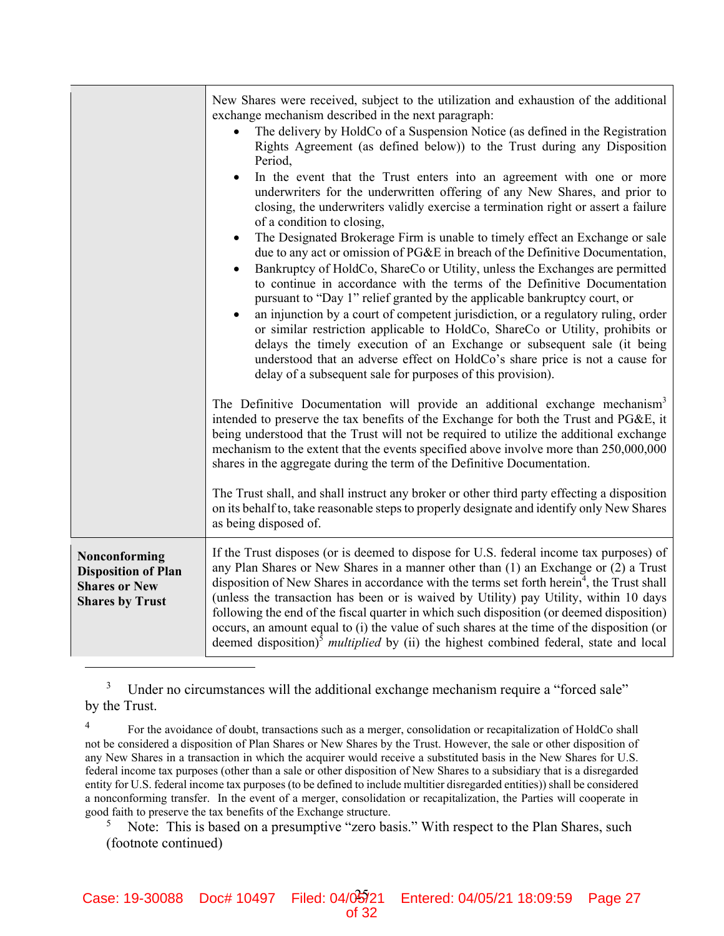|                                                                                               | New Shares were received, subject to the utilization and exhaustion of the additional<br>exchange mechanism described in the next paragraph:<br>The delivery by HoldCo of a Suspension Notice (as defined in the Registration<br>$\bullet$<br>Rights Agreement (as defined below)) to the Trust during any Disposition<br>Period,<br>In the event that the Trust enters into an agreement with one or more<br>$\bullet$<br>underwriters for the underwritten offering of any New Shares, and prior to<br>closing, the underwriters validly exercise a termination right or assert a failure<br>of a condition to closing,<br>The Designated Brokerage Firm is unable to timely effect an Exchange or sale<br>$\bullet$<br>due to any act or omission of PG&E in breach of the Definitive Documentation,<br>Bankruptcy of HoldCo, ShareCo or Utility, unless the Exchanges are permitted<br>$\bullet$<br>to continue in accordance with the terms of the Definitive Documentation<br>pursuant to "Day 1" relief granted by the applicable bankruptcy court, or<br>an injunction by a court of competent jurisdiction, or a regulatory ruling, order<br>$\bullet$<br>or similar restriction applicable to HoldCo, ShareCo or Utility, prohibits or<br>delays the timely execution of an Exchange or subsequent sale (it being<br>understood that an adverse effect on HoldCo's share price is not a cause for<br>delay of a subsequent sale for purposes of this provision).<br>The Definitive Documentation will provide an additional exchange mechanism <sup>3</sup><br>intended to preserve the tax benefits of the Exchange for both the Trust and PG&E, it<br>being understood that the Trust will not be required to utilize the additional exchange<br>mechanism to the extent that the events specified above involve more than 250,000,000<br>shares in the aggregate during the term of the Definitive Documentation. |
|-----------------------------------------------------------------------------------------------|--------------------------------------------------------------------------------------------------------------------------------------------------------------------------------------------------------------------------------------------------------------------------------------------------------------------------------------------------------------------------------------------------------------------------------------------------------------------------------------------------------------------------------------------------------------------------------------------------------------------------------------------------------------------------------------------------------------------------------------------------------------------------------------------------------------------------------------------------------------------------------------------------------------------------------------------------------------------------------------------------------------------------------------------------------------------------------------------------------------------------------------------------------------------------------------------------------------------------------------------------------------------------------------------------------------------------------------------------------------------------------------------------------------------------------------------------------------------------------------------------------------------------------------------------------------------------------------------------------------------------------------------------------------------------------------------------------------------------------------------------------------------------------------------------------------------------------------------------------------------------------------------------------------------------------|
|                                                                                               | The Trust shall, and shall instruct any broker or other third party effecting a disposition<br>on its behalf to, take reasonable steps to properly designate and identify only New Shares<br>as being disposed of.                                                                                                                                                                                                                                                                                                                                                                                                                                                                                                                                                                                                                                                                                                                                                                                                                                                                                                                                                                                                                                                                                                                                                                                                                                                                                                                                                                                                                                                                                                                                                                                                                                                                                                             |
| Nonconforming<br><b>Disposition of Plan</b><br><b>Shares or New</b><br><b>Shares by Trust</b> | If the Trust disposes (or is deemed to dispose for U.S. federal income tax purposes) of<br>any Plan Shares or New Shares in a manner other than (1) an Exchange or (2) a Trust<br>disposition of New Shares in accordance with the terms set forth herein <sup>4</sup> , the Trust shall<br>(unless the transaction has been or is waived by Utility) pay Utility, within 10 days<br>following the end of the fiscal quarter in which such disposition (or deemed disposition)<br>occurs, an amount equal to (i) the value of such shares at the time of the disposition (or<br>deemed disposition) <sup>5</sup> multiplied by (ii) the highest combined federal, state and local                                                                                                                                                                                                                                                                                                                                                                                                                                                                                                                                                                                                                                                                                                                                                                                                                                                                                                                                                                                                                                                                                                                                                                                                                                              |

<sup>3</sup> Under no circumstances will the additional exchange mechanism require a "forced sale" by the Trust.

4 For the avoidance of doubt, transactions such as a merger, consolidation or recapitalization of HoldCo shall not be considered a disposition of Plan Shares or New Shares by the Trust. However, the sale or other disposition of any New Shares in a transaction in which the acquirer would receive a substituted basis in the New Shares for U.S. federal income tax purposes (other than a sale or other disposition of New Shares to a subsidiary that is a disregarded entity for U.S. federal income tax purposes (to be defined to include multitier disregarded entities)) shall be considered a nonconforming transfer. In the event of a merger, consolidation or recapitalization, the Parties will cooperate in good faith to preserve the tax benefits of the Exchange structure.

5 Note: This is based on a presumptive "zero basis." With respect to the Plan Shares, such (footnote continued)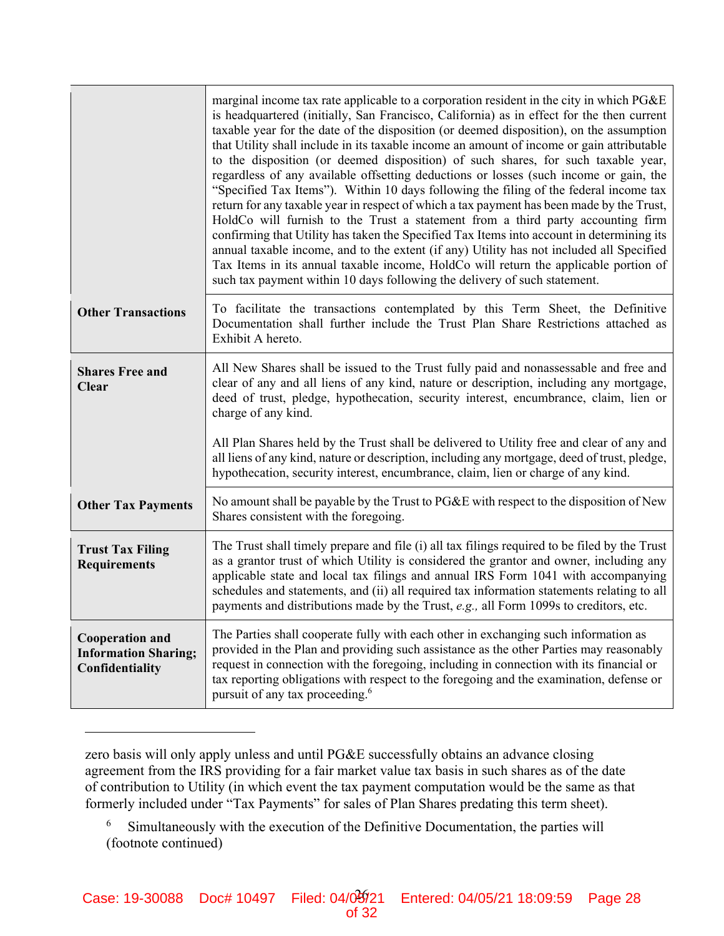|                                                                          | marginal income tax rate applicable to a corporation resident in the city in which PG&E<br>is headquartered (initially, San Francisco, California) as in effect for the then current<br>taxable year for the date of the disposition (or deemed disposition), on the assumption<br>that Utility shall include in its taxable income an amount of income or gain attributable<br>to the disposition (or deemed disposition) of such shares, for such taxable year,<br>regardless of any available offsetting deductions or losses (such income or gain, the<br>"Specified Tax Items"). Within 10 days following the filing of the federal income tax<br>return for any taxable year in respect of which a tax payment has been made by the Trust,<br>HoldCo will furnish to the Trust a statement from a third party accounting firm<br>confirming that Utility has taken the Specified Tax Items into account in determining its<br>annual taxable income, and to the extent (if any) Utility has not included all Specified<br>Tax Items in its annual taxable income, HoldCo will return the applicable portion of<br>such tax payment within 10 days following the delivery of such statement. |
|--------------------------------------------------------------------------|---------------------------------------------------------------------------------------------------------------------------------------------------------------------------------------------------------------------------------------------------------------------------------------------------------------------------------------------------------------------------------------------------------------------------------------------------------------------------------------------------------------------------------------------------------------------------------------------------------------------------------------------------------------------------------------------------------------------------------------------------------------------------------------------------------------------------------------------------------------------------------------------------------------------------------------------------------------------------------------------------------------------------------------------------------------------------------------------------------------------------------------------------------------------------------------------------|
| <b>Other Transactions</b>                                                | To facilitate the transactions contemplated by this Term Sheet, the Definitive<br>Documentation shall further include the Trust Plan Share Restrictions attached as<br>Exhibit A hereto.                                                                                                                                                                                                                                                                                                                                                                                                                                                                                                                                                                                                                                                                                                                                                                                                                                                                                                                                                                                                          |
| <b>Shares Free and</b><br><b>Clear</b>                                   | All New Shares shall be issued to the Trust fully paid and nonassessable and free and<br>clear of any and all liens of any kind, nature or description, including any mortgage,<br>deed of trust, pledge, hypothecation, security interest, encumbrance, claim, lien or<br>charge of any kind.                                                                                                                                                                                                                                                                                                                                                                                                                                                                                                                                                                                                                                                                                                                                                                                                                                                                                                    |
|                                                                          | All Plan Shares held by the Trust shall be delivered to Utility free and clear of any and<br>all liens of any kind, nature or description, including any mortgage, deed of trust, pledge,<br>hypothecation, security interest, encumbrance, claim, lien or charge of any kind.                                                                                                                                                                                                                                                                                                                                                                                                                                                                                                                                                                                                                                                                                                                                                                                                                                                                                                                    |
| <b>Other Tax Payments</b>                                                | No amount shall be payable by the Trust to PG&E with respect to the disposition of New<br>Shares consistent with the foregoing.                                                                                                                                                                                                                                                                                                                                                                                                                                                                                                                                                                                                                                                                                                                                                                                                                                                                                                                                                                                                                                                                   |
| <b>Trust Tax Filing</b><br><b>Requirements</b>                           | The Trust shall timely prepare and file (i) all tax filings required to be filed by the Trust<br>as a grantor trust of which Utility is considered the grantor and owner, including any<br>applicable state and local tax filings and annual IRS Form 1041 with accompanying<br>schedules and statements, and (ii) all required tax information statements relating to all<br>payments and distributions made by the Trust, e.g., all Form 1099s to creditors, etc.                                                                                                                                                                                                                                                                                                                                                                                                                                                                                                                                                                                                                                                                                                                               |
| <b>Cooperation and</b><br><b>Information Sharing;</b><br>Confidentiality | The Parties shall cooperate fully with each other in exchanging such information as<br>provided in the Plan and providing such assistance as the other Parties may reasonably<br>request in connection with the foregoing, including in connection with its financial or<br>tax reporting obligations with respect to the foregoing and the examination, defense or<br>pursuit of any tax proceeding. <sup>6</sup>                                                                                                                                                                                                                                                                                                                                                                                                                                                                                                                                                                                                                                                                                                                                                                                |

zero basis will only apply unless and until PG&E successfully obtains an advance closing agreement from the IRS providing for a fair market value tax basis in such shares as of the date of contribution to Utility (in which event the tax payment computation would be the same as that formerly included under "Tax Payments" for sales of Plan Shares predating this term sheet).

6 Simultaneously with the execution of the Definitive Documentation, the parties will (footnote continued)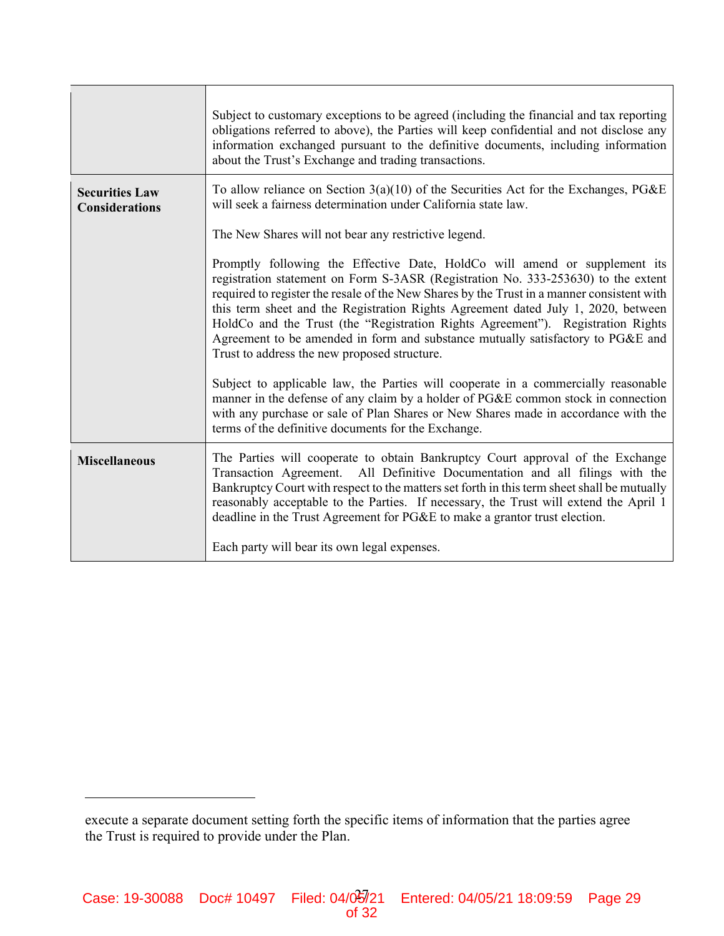|                                                                                                                                                                                                           | Subject to customary exceptions to be agreed (including the financial and tax reporting<br>obligations referred to above), the Parties will keep confidential and not disclose any<br>information exchanged pursuant to the definitive documents, including information<br>about the Trust's Exchange and trading transactions.                                                                                                                                                                                                                                          |
|-----------------------------------------------------------------------------------------------------------------------------------------------------------------------------------------------------------|--------------------------------------------------------------------------------------------------------------------------------------------------------------------------------------------------------------------------------------------------------------------------------------------------------------------------------------------------------------------------------------------------------------------------------------------------------------------------------------------------------------------------------------------------------------------------|
| To allow reliance on Section $3(a)(10)$ of the Securities Act for the Exchanges, PG&E<br><b>Securities Law</b><br>will seek a fairness determination under California state law.<br><b>Considerations</b> |                                                                                                                                                                                                                                                                                                                                                                                                                                                                                                                                                                          |
|                                                                                                                                                                                                           | The New Shares will not bear any restrictive legend.                                                                                                                                                                                                                                                                                                                                                                                                                                                                                                                     |
|                                                                                                                                                                                                           | Promptly following the Effective Date, HoldCo will amend or supplement its<br>registration statement on Form S-3ASR (Registration No. 333-253630) to the extent<br>required to register the resale of the New Shares by the Trust in a manner consistent with<br>this term sheet and the Registration Rights Agreement dated July 1, 2020, between<br>HoldCo and the Trust (the "Registration Rights Agreement"). Registration Rights<br>Agreement to be amended in form and substance mutually satisfactory to PG&E and<br>Trust to address the new proposed structure. |
|                                                                                                                                                                                                           | Subject to applicable law, the Parties will cooperate in a commercially reasonable<br>manner in the defense of any claim by a holder of PG&E common stock in connection<br>with any purchase or sale of Plan Shares or New Shares made in accordance with the<br>terms of the definitive documents for the Exchange.                                                                                                                                                                                                                                                     |
| <b>Miscellaneous</b>                                                                                                                                                                                      | The Parties will cooperate to obtain Bankruptcy Court approval of the Exchange<br>Transaction Agreement. All Definitive Documentation and all filings with the<br>Bankruptcy Court with respect to the matters set forth in this term sheet shall be mutually<br>reasonably acceptable to the Parties. If necessary, the Trust will extend the April 1<br>deadline in the Trust Agreement for PG&E to make a grantor trust election.                                                                                                                                     |
|                                                                                                                                                                                                           | Each party will bear its own legal expenses.                                                                                                                                                                                                                                                                                                                                                                                                                                                                                                                             |

execute a separate document setting forth the specific items of information that the parties agree the Trust is required to provide under the Plan.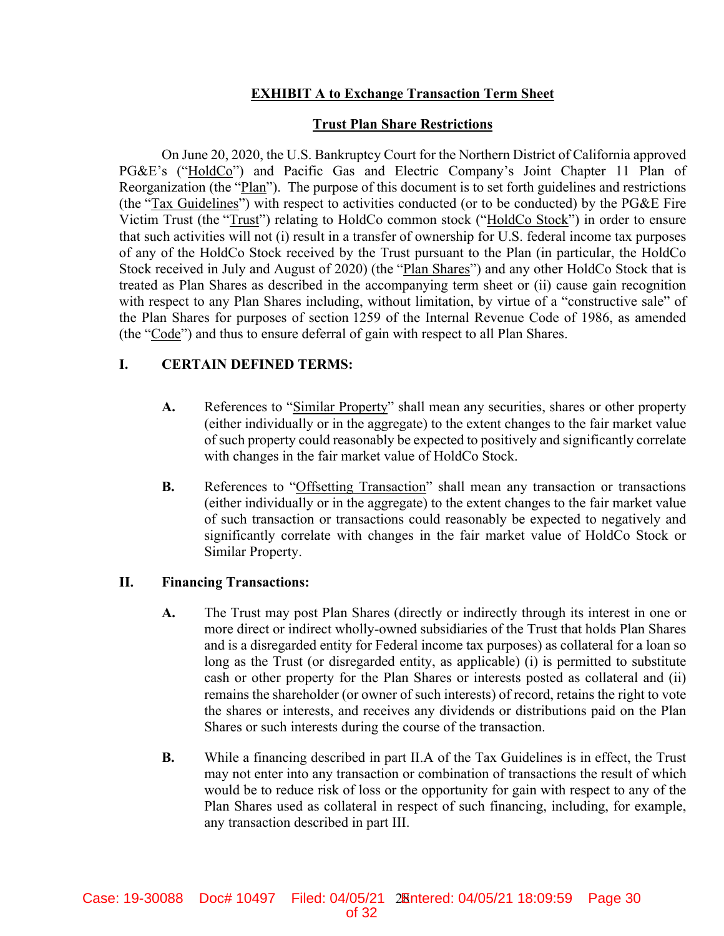# **EXHIBIT A to Exchange Transaction Term Sheet**

## **Trust Plan Share Restrictions**

On June 20, 2020, the U.S. Bankruptcy Court for the Northern District of California approved PG&E's ("HoldCo") and Pacific Gas and Electric Company's Joint Chapter 11 Plan of Reorganization (the "Plan"). The purpose of this document is to set forth guidelines and restrictions (the "Tax Guidelines") with respect to activities conducted (or to be conducted) by the PG&E Fire Victim Trust (the "Trust") relating to HoldCo common stock ("HoldCo Stock") in order to ensure that such activities will not (i) result in a transfer of ownership for U.S. federal income tax purposes of any of the HoldCo Stock received by the Trust pursuant to the Plan (in particular, the HoldCo Stock received in July and August of 2020) (the "Plan Shares") and any other HoldCo Stock that is treated as Plan Shares as described in the accompanying term sheet or (ii) cause gain recognition with respect to any Plan Shares including, without limitation, by virtue of a "constructive sale" of the Plan Shares for purposes of section 1259 of the Internal Revenue Code of 1986, as amended (the "Code") and thus to ensure deferral of gain with respect to all Plan Shares.

# **I. CERTAIN DEFINED TERMS:**

- **A.** References to "Similar Property" shall mean any securities, shares or other property (either individually or in the aggregate) to the extent changes to the fair market value of such property could reasonably be expected to positively and significantly correlate with changes in the fair market value of HoldCo Stock.
- **B.** References to "Offsetting Transaction" shall mean any transaction or transactions (either individually or in the aggregate) to the extent changes to the fair market value of such transaction or transactions could reasonably be expected to negatively and significantly correlate with changes in the fair market value of HoldCo Stock or Similar Property.

# **II. Financing Transactions:**

- **A.** The Trust may post Plan Shares (directly or indirectly through its interest in one or more direct or indirect wholly-owned subsidiaries of the Trust that holds Plan Shares and is a disregarded entity for Federal income tax purposes) as collateral for a loan so long as the Trust (or disregarded entity, as applicable) (i) is permitted to substitute cash or other property for the Plan Shares or interests posted as collateral and (ii) remains the shareholder (or owner of such interests) of record, retains the right to vote the shares or interests, and receives any dividends or distributions paid on the Plan Shares or such interests during the course of the transaction.
- **B.** While a financing described in part II.A of the Tax Guidelines is in effect, the Trust may not enter into any transaction or combination of transactions the result of which would be to reduce risk of loss or the opportunity for gain with respect to any of the Plan Shares used as collateral in respect of such financing, including, for example, any transaction described in part III.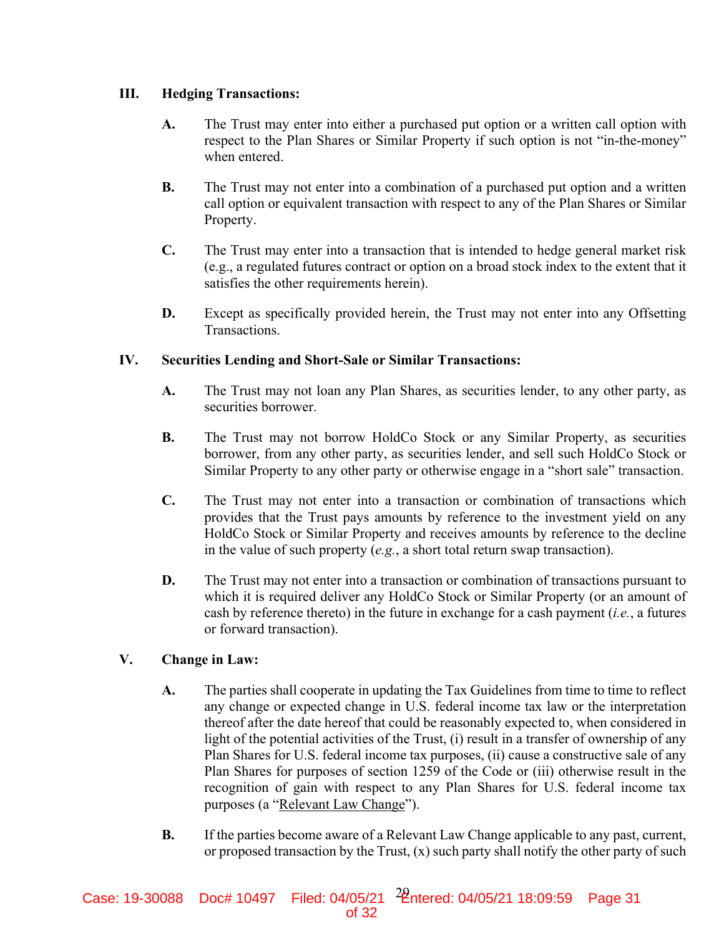## **III. Hedging Transactions:**

- **A.** The Trust may enter into either a purchased put option or a written call option with respect to the Plan Shares or Similar Property if such option is not "in-the-money" when entered.
- **B.** The Trust may not enter into a combination of a purchased put option and a written call option or equivalent transaction with respect to any of the Plan Shares or Similar Property.
- **C.** The Trust may enter into a transaction that is intended to hedge general market risk (e.g., a regulated futures contract or option on a broad stock index to the extent that it satisfies the other requirements herein).
- **D.** Except as specifically provided herein, the Trust may not enter into any Offsetting Transactions.

# **IV. Securities Lending and Short-Sale or Similar Transactions:**

- **A.** The Trust may not loan any Plan Shares, as securities lender, to any other party, as securities borrower.
- **B.** The Trust may not borrow HoldCo Stock or any Similar Property, as securities borrower, from any other party, as securities lender, and sell such HoldCo Stock or Similar Property to any other party or otherwise engage in a "short sale" transaction.
- **C.** The Trust may not enter into a transaction or combination of transactions which provides that the Trust pays amounts by reference to the investment yield on any HoldCo Stock or Similar Property and receives amounts by reference to the decline in the value of such property (*e.g.*, a short total return swap transaction).
- **D.** The Trust may not enter into a transaction or combination of transactions pursuant to which it is required deliver any HoldCo Stock or Similar Property (or an amount of cash by reference thereto) in the future in exchange for a cash payment (*i.e.*, a futures or forward transaction).

# **V. Change in Law:**

- **A.** The parties shall cooperate in updating the Tax Guidelines from time to time to reflect any change or expected change in U.S. federal income tax law or the interpretation thereof after the date hereof that could be reasonably expected to, when considered in light of the potential activities of the Trust, (i) result in a transfer of ownership of any Plan Shares for U.S. federal income tax purposes, (ii) cause a constructive sale of any Plan Shares for purposes of section 1259 of the Code or (iii) otherwise result in the recognition of gain with respect to any Plan Shares for U.S. federal income tax purposes (a "Relevant Law Change").
- **B.** If the parties become aware of a Relevant Law Change applicable to any past, current, or proposed transaction by the Trust,  $(x)$  such party shall notify the other party of such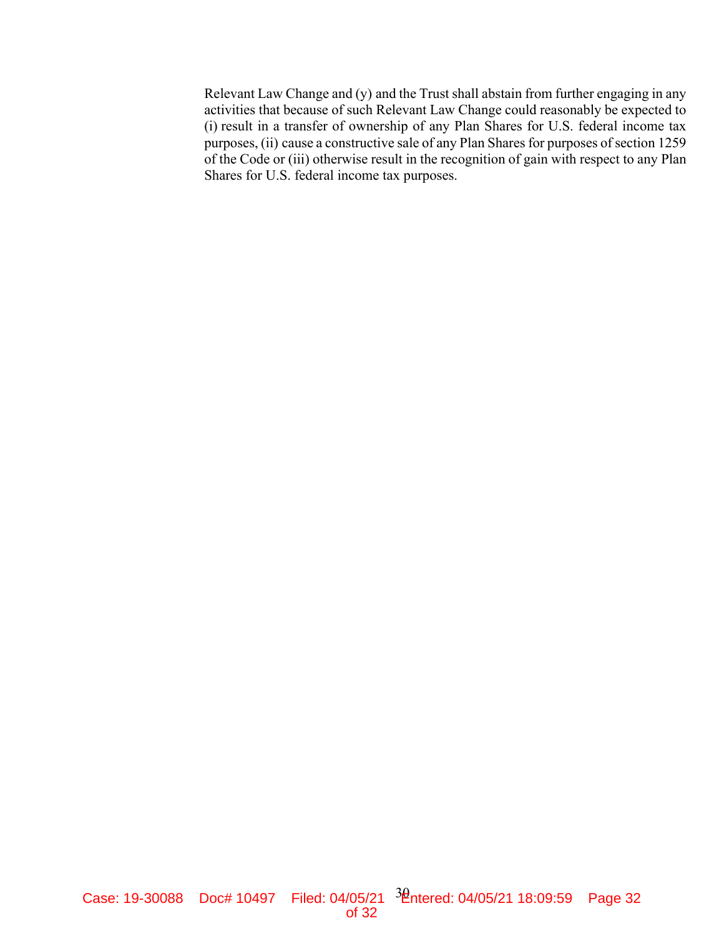Relevant Law Change and (y) and the Trust shall abstain from further engaging in any activities that because of such Relevant Law Change could reasonably be expected to (i) result in a transfer of ownership of any Plan Shares for U.S. federal income tax purposes, (ii) cause a constructive sale of any Plan Shares for purposes of section 1259 of the Code or (iii) otherwise result in the recognition of gain with respect to any Plan Shares for U.S. federal income tax purposes.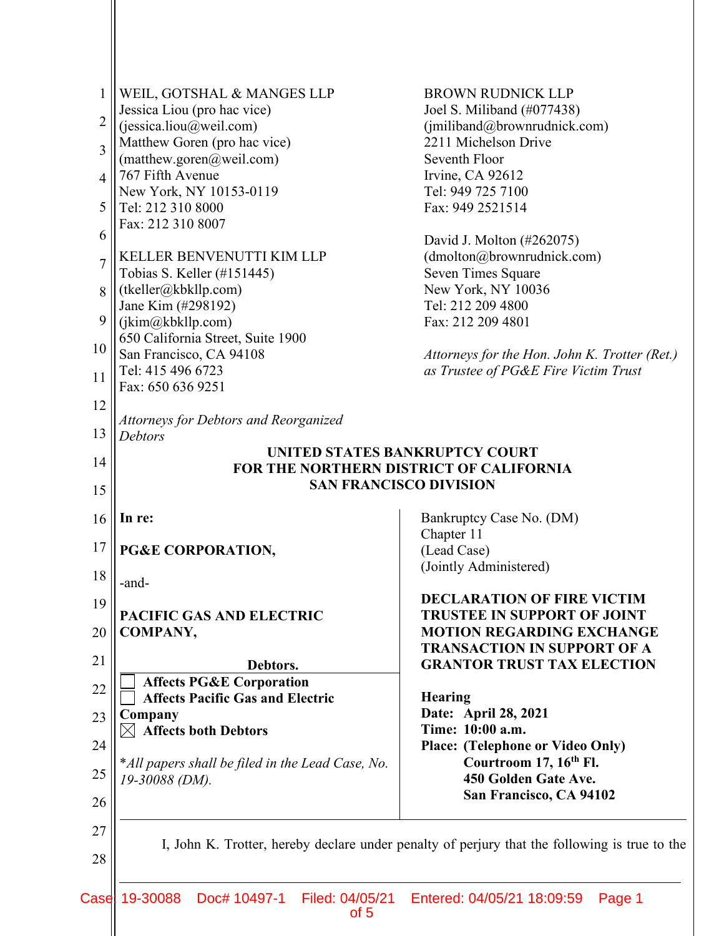| $\mathbf{1}$   | WEIL, GOTSHAL & MANGES LLP                              | <b>BROWN RUDNICK LLP</b>                                                                      |
|----------------|---------------------------------------------------------|-----------------------------------------------------------------------------------------------|
| $\overline{2}$ | Jessica Liou (pro hac vice)                             | Joel S. Miliband (#077438)                                                                    |
|                | (jessica.liou@weil.com)<br>Matthew Goren (pro hac vice) | (jmiliband@brownrudnick.com)<br>2211 Michelson Drive                                          |
| $\overline{3}$ | (matthew.goren@weil.com)                                | Seventh Floor                                                                                 |
| $\overline{4}$ | 767 Fifth Avenue                                        | Irvine, CA 92612                                                                              |
|                | New York, NY 10153-0119                                 | Tel: 949 725 7100                                                                             |
| 5              | Tel: 212 310 8000                                       | Fax: 949 2521514                                                                              |
| 6              | Fax: 212 310 8007                                       |                                                                                               |
|                |                                                         | David J. Molton (#262075)                                                                     |
| $\overline{7}$ | KELLER BENVENUTTI KIM LLP<br>Tobias S. Keller (#151445) | (dmolton@brownrudnick.com)<br>Seven Times Square                                              |
| 8              | (tkeller@kbkllp.com)                                    | New York, NY 10036                                                                            |
|                | Jane Kim (#298192)                                      | Tel: 212 209 4800                                                                             |
| 9              | (jkim@kbkllp.com)                                       | Fax: 212 209 4801                                                                             |
|                | 650 California Street, Suite 1900                       |                                                                                               |
| 10             | San Francisco, CA 94108                                 | Attorneys for the Hon. John K. Trotter (Ret.)                                                 |
| 11             | Tel: 415 496 6723                                       | as Trustee of PG&E Fire Victim Trust                                                          |
|                | Fax: 650 636 9251                                       |                                                                                               |
| 12             | Attorneys for Debtors and Reorganized                   |                                                                                               |
| 13             | <b>Debtors</b>                                          |                                                                                               |
|                | UNITED STATES BANKRUPTCY COURT                          |                                                                                               |
| 14             | FOR THE NORTHERN DISTRICT OF CALIFORNIA                 |                                                                                               |
| 15             | <b>SAN FRANCISCO DIVISION</b>                           |                                                                                               |
|                |                                                         |                                                                                               |
| 16             | In re:                                                  | Bankruptcy Case No. (DM)                                                                      |
| 17             | PG&E CORPORATION,                                       | Chapter 11<br>(Lead Case)                                                                     |
|                |                                                         | (Jointly Administered)                                                                        |
| 18             | -and-                                                   |                                                                                               |
| 19             |                                                         | <b>DECLARATION OF FIRE VICTIM</b>                                                             |
|                | <b>PACIFIC GAS AND ELECTRIC</b>                         | <b>TRUSTEE IN SUPPORT OF JOINT</b>                                                            |
| 20             | COMPANY,                                                | <b>MOTION REGARDING EXCHANGE</b>                                                              |
| 21             |                                                         | <b>TRANSACTION IN SUPPORT OF A</b><br><b>GRANTOR TRUST TAX ELECTION</b>                       |
|                | Debtors.<br><b>Affects PG&amp;E Corporation</b>         |                                                                                               |
| 22             | <b>Affects Pacific Gas and Electric</b>                 | <b>Hearing</b>                                                                                |
| 23             | Company                                                 | Date: April 28, 2021                                                                          |
|                | $\boxtimes$ Affects both Debtors                        | Time: 10:00 a.m.                                                                              |
| 24             |                                                         | <b>Place: (Telephone or Video Only)</b>                                                       |
| 25             | *All papers shall be filed in the Lead Case, No.        | Courtroom 17, 16 <sup>th</sup> Fl.                                                            |
|                | 19-30088 (DM).                                          | 450 Golden Gate Ave.                                                                          |
| 26             |                                                         | San Francisco, CA 94102                                                                       |
| 27             |                                                         |                                                                                               |
|                |                                                         | I, John K. Trotter, hereby declare under penalty of perjury that the following is true to the |
| 28             |                                                         |                                                                                               |
|                |                                                         |                                                                                               |
| Casel          | 19-30088<br>Doc# 10497-1<br>Filed: 04/05/21             | Entered: 04/05/21 18:09:59<br>Page 1                                                          |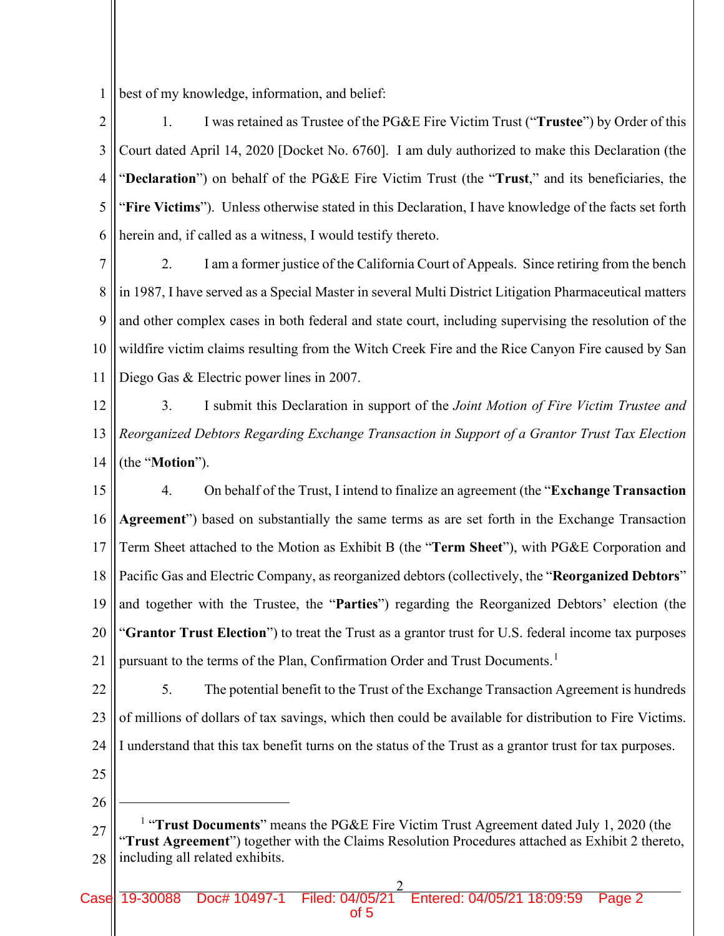1 best of my knowledge, information, and belief:

2 3 4 5 6 1. I was retained as Trustee of the PG&E Fire Victim Trust ("**Trustee**") by Order of this Court dated April 14, 2020 [Docket No. 6760]. I am duly authorized to make this Declaration (the "**Declaration**") on behalf of the PG&E Fire Victim Trust (the "**Trust**," and its beneficiaries, the "**Fire Victims**"). Unless otherwise stated in this Declaration, I have knowledge of the facts set forth herein and, if called as a witness, I would testify thereto.

7 8 9 10 11 2. I am a former justice of the California Court of Appeals. Since retiring from the bench in 1987, I have served as a Special Master in several Multi District Litigation Pharmaceutical matters and other complex cases in both federal and state court, including supervising the resolution of the wildfire victim claims resulting from the Witch Creek Fire and the Rice Canyon Fire caused by San Diego Gas & Electric power lines in 2007.

12 13 14 3. I submit this Declaration in support of the *Joint Motion of Fire Victim Trustee and Reorganized Debtors Regarding Exchange Transaction in Support of a Grantor Trust Tax Election* (the "**Motion**").

15 16 17 18 19 20 21 4. On behalf of the Trust, I intend to finalize an agreement (the "**Exchange Transaction Agreement**") based on substantially the same terms as are set forth in the Exchange Transaction Term Sheet attached to the Motion as Exhibit B (the "**Term Sheet**"), with PG&E Corporation and Pacific Gas and Electric Company, as reorganized debtors (collectively, the "**Reorganized Debtors**" and together with the Trustee, the "**Parties**") regarding the Reorganized Debtors' election (the "**Grantor Trust Election**") to treat the Trust as a grantor trust for U.S. federal income tax purposes pursuant to the terms of the Plan, Confirmation Order and Trust Documents.<sup>[1](#page-33-0)</sup>

22 23 24 25 5. The potential benefit to the Trust of the Exchange Transaction Agreement is hundreds of millions of dollars of tax savings, which then could be available for distribution to Fire Victims. I understand that this tax benefit turns on the status of the Trust as a grantor trust for tax purposes.

26

<span id="page-33-0"></span><sup>27</sup> 28 <sup>1</sup> "Trust Documents" means the PG&E Fire Victim Trust Agreement dated July 1, 2020 (the "**Trust Agreement**") together with the Claims Resolution Procedures attached as Exhibit 2 thereto, including all related exhibits.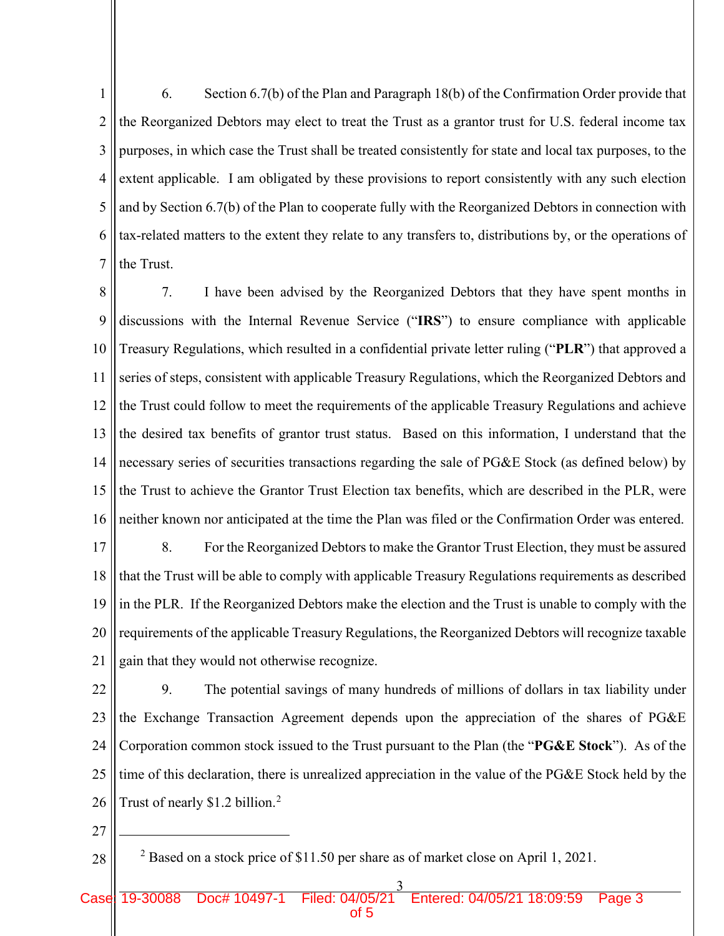1 2 3 4 5 6 7 6. Section 6.7(b) of the Plan and Paragraph 18(b) of the Confirmation Order provide that the Reorganized Debtors may elect to treat the Trust as a grantor trust for U.S. federal income tax purposes, in which case the Trust shall be treated consistently for state and local tax purposes, to the extent applicable. I am obligated by these provisions to report consistently with any such election and by Section 6.7(b) of the Plan to cooperate fully with the Reorganized Debtors in connection with tax-related matters to the extent they relate to any transfers to, distributions by, or the operations of the Trust.

8 9 10 11 12 13 14 15 16 7. I have been advised by the Reorganized Debtors that they have spent months in discussions with the Internal Revenue Service ("**IRS**") to ensure compliance with applicable Treasury Regulations, which resulted in a confidential private letter ruling ("**PLR**") that approved a series of steps, consistent with applicable Treasury Regulations, which the Reorganized Debtors and the Trust could follow to meet the requirements of the applicable Treasury Regulations and achieve the desired tax benefits of grantor trust status. Based on this information, I understand that the necessary series of securities transactions regarding the sale of PG&E Stock (as defined below) by the Trust to achieve the Grantor Trust Election tax benefits, which are described in the PLR, were neither known nor anticipated at the time the Plan was filed or the Confirmation Order was entered.

17 18 19 20 21 8. For the Reorganized Debtors to make the Grantor Trust Election, they must be assured that the Trust will be able to comply with applicable Treasury Regulations requirements as described in the PLR. If the Reorganized Debtors make the election and the Trust is unable to comply with the requirements of the applicable Treasury Regulations, the Reorganized Debtors will recognize taxable gain that they would not otherwise recognize.

22 23 24 25 26 9. The potential savings of many hundreds of millions of dollars in tax liability under the Exchange Transaction Agreement depends upon the appreciation of the shares of PG&E Corporation common stock issued to the Trust pursuant to the Plan (the "**PG&E Stock**"). As of the time of this declaration, there is unrealized appreciation in the value of the PG&E Stock held by the Trust of nearly \$1.2 billion. [2](#page-34-0)

27

<span id="page-34-0"></span>28

<sup>2</sup> Based on a stock price of \$11.50 per share as of market close on April 1, 2021.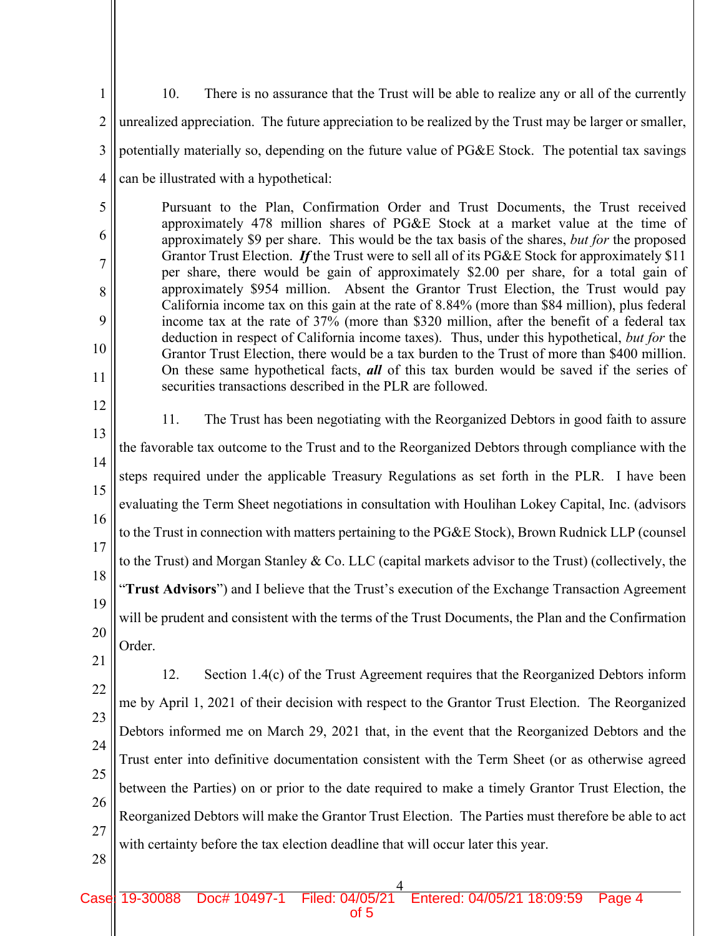1 2 3 4 5 6 7 8 9 10 11 12 13 14 15 16 17 18 19 20 21 22 23 24 25 26 27 28 10. There is no assurance that the Trust will be able to realize any or all of the currently unrealized appreciation. The future appreciation to be realized by the Trust may be larger or smaller, potentially materially so, depending on the future value of PG&E Stock. The potential tax savings can be illustrated with a hypothetical: Pursuant to the Plan, Confirmation Order and Trust Documents, the Trust received approximately 478 million shares of PG&E Stock at a market value at the time of approximately \$9 per share. This would be the tax basis of the shares, *but for* the proposed Grantor Trust Election. If the Trust were to sell all of its PG&E Stock for approximately \$11 per share, there would be gain of approximately \$2.00 per share, for a total gain of approximately \$954 million. Absent the Grantor Trust Election, the Trust would pay California income tax on this gain at the rate of 8.84% (more than \$84 million), plus federal income tax at the rate of 37% (more than \$320 million, after the benefit of a federal tax deduction in respect of California income taxes). Thus, under this hypothetical, *but for* the Grantor Trust Election, there would be a tax burden to the Trust of more than \$400 million. On these same hypothetical facts, *all* of this tax burden would be saved if the series of securities transactions described in the PLR are followed. 11. The Trust has been negotiating with the Reorganized Debtors in good faith to assure the favorable tax outcome to the Trust and to the Reorganized Debtors through compliance with the steps required under the applicable Treasury Regulations as set forth in the PLR. I have been evaluating the Term Sheet negotiations in consultation with Houlihan Lokey Capital, Inc. (advisors to the Trust in connection with matters pertaining to the PG&E Stock), Brown Rudnick LLP (counsel to the Trust) and Morgan Stanley & Co. LLC (capital markets advisor to the Trust) (collectively, the "**Trust Advisors**") and I believe that the Trust's execution of the Exchange Transaction Agreement will be prudent and consistent with the terms of the Trust Documents, the Plan and the Confirmation Order. 12. Section 1.4(c) of the Trust Agreement requires that the Reorganized Debtors inform me by April 1, 2021 of their decision with respect to the Grantor Trust Election. The Reorganized Debtors informed me on March 29, 2021 that, in the event that the Reorganized Debtors and the Trust enter into definitive documentation consistent with the Term Sheet (or as otherwise agreed between the Parties) on or prior to the date required to make a timely Grantor Trust Election, the Reorganized Debtors will make the Grantor Trust Election. The Parties must therefore be able to act with certainty before the tax election deadline that will occur later this year.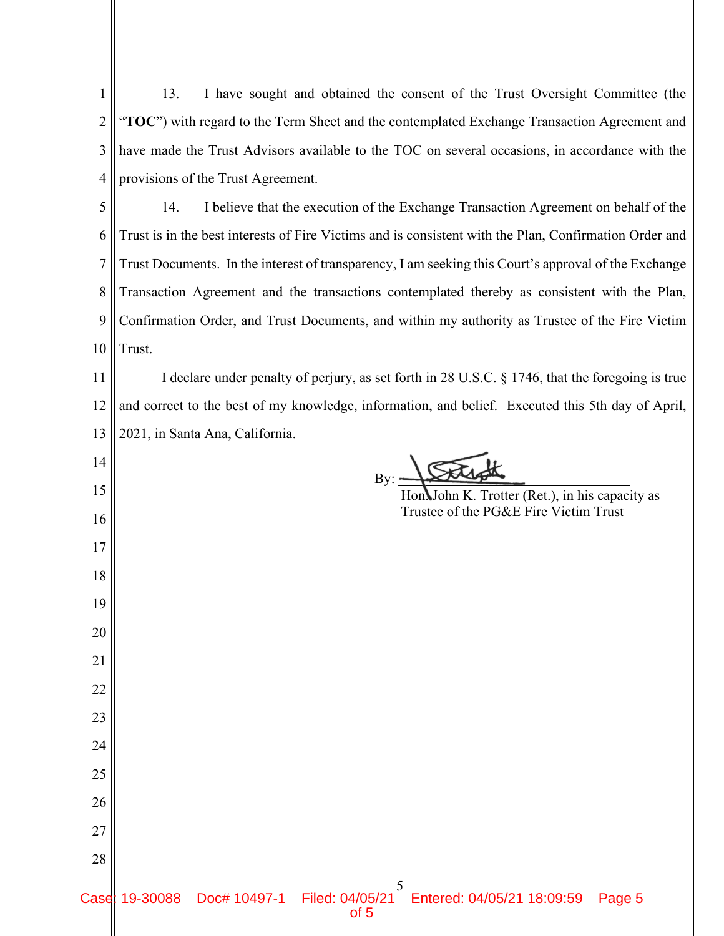|                | I have sought and obtained the consent of the Trust Oversight Committee (the<br>13.                    |  |
|----------------|--------------------------------------------------------------------------------------------------------|--|
| $\overline{c}$ | "TOC") with regard to the Term Sheet and the contemplated Exchange Transaction Agreement and           |  |
| 3              | have made the Trust Advisors available to the TOC on several occasions, in accordance with the         |  |
| 4              | provisions of the Trust Agreement.                                                                     |  |
| 5              | 14.<br>I believe that the execution of the Exchange Transaction Agreement on behalf of the             |  |
| 6              | Trust is in the best interests of Fire Victims and is consistent with the Plan, Confirmation Order and |  |
| $\overline{7}$ | Trust Documents. In the interest of transparency, I am seeking this Court's approval of the Exchange   |  |
| 8              | Transaction Agreement and the transactions contemplated thereby as consistent with the Plan,           |  |
| 9              | Confirmation Order, and Trust Documents, and within my authority as Trustee of the Fire Victim         |  |
| 10             | Trust.                                                                                                 |  |
| 11             | I declare under penalty of perjury, as set forth in 28 U.S.C. § 1746, that the foregoing is true       |  |
| 12             | and correct to the best of my knowledge, information, and belief. Executed this 5th day of April,      |  |
| 13             | 2021, in Santa Ana, California.                                                                        |  |
| 14             | By                                                                                                     |  |
| 15             | Hon John K. Trotter (Ret.), in his capacity as<br>Trustee of the PG&E Fire Victim Trust                |  |
| 16             |                                                                                                        |  |
| 17             |                                                                                                        |  |
| 18             |                                                                                                        |  |
| 19             |                                                                                                        |  |
| 20             |                                                                                                        |  |
| 21             |                                                                                                        |  |
| 22             |                                                                                                        |  |
| 23             |                                                                                                        |  |
| 24             |                                                                                                        |  |
| 25<br>26       |                                                                                                        |  |
| 27             |                                                                                                        |  |
| 28             |                                                                                                        |  |
|                |                                                                                                        |  |
|                |                                                                                                        |  |

Case: 19-30088 Doc# 10497-1 Filed: 04/05/21 Entered: 04/05/21 18:09:59 Page 5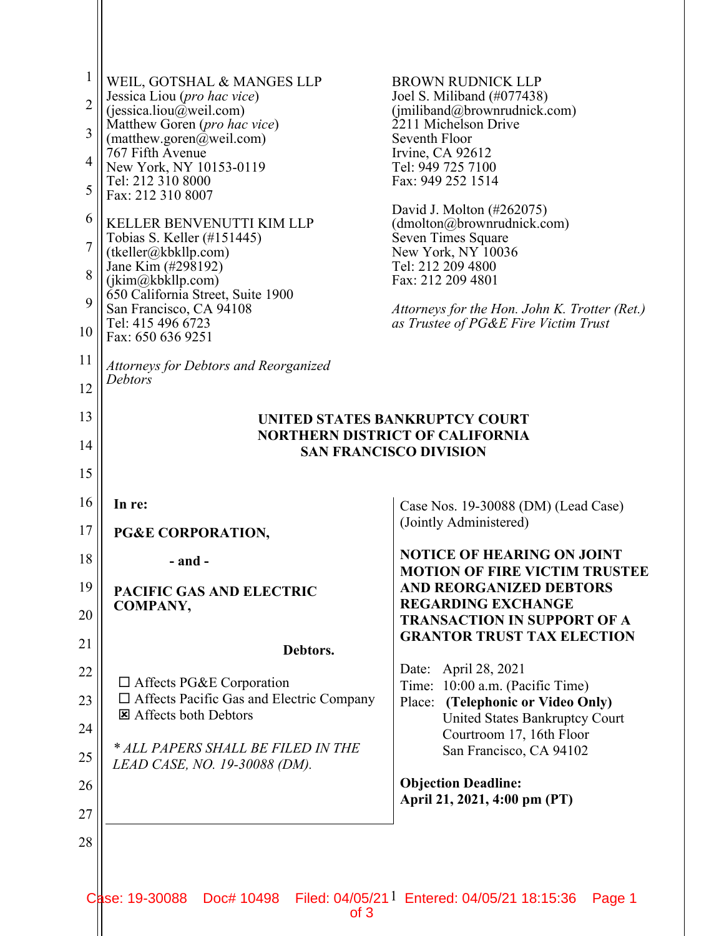| $\mathbf{1}$<br>$\overline{2}$<br>$\overline{3}$<br>4<br>5<br>6 | WEIL, GOTSHAL & MANGES LLP<br>Jessica Liou ( <i>pro hac vice</i> )<br>$($ jessica.liou $@$ weil.com)<br>Matthew Goren (pro hac vice)<br>(mattlew.goren@weil.com)<br>767 Fifth Avenue<br>New York, NY 10153-0119<br>Tel: 212 310 8000<br>Fax: 212 310 8007 | <b>BROWN RUDNICK LLP</b><br>Joel S. Miliband (#077438)<br>(jmiliband@brownrudnick.com)<br>2211 Michelson Drive<br>Seventh Floor<br>Irvine, CA 92612<br>Tel: 949 725 7100<br>Fax: 949 252 1514<br>David J. Molton (#262075) |
|-----------------------------------------------------------------|-----------------------------------------------------------------------------------------------------------------------------------------------------------------------------------------------------------------------------------------------------------|----------------------------------------------------------------------------------------------------------------------------------------------------------------------------------------------------------------------------|
| $\overline{7}$                                                  | KELLER BENVENUTTI KIM LLP<br>Tobias S. Keller (#151445)                                                                                                                                                                                                   | (dmolton@brownrudnick.com)<br>Seven Times Square                                                                                                                                                                           |
| 8                                                               | (tkeller@kbkllp.com)<br>Jane Kim (#298192)<br>(jkim@kbkllp.com)                                                                                                                                                                                           | New York, NY 10036<br>Tel: 212 209 4800<br>Fax: 212 209 4801                                                                                                                                                               |
| 9                                                               | 650 California Street, Suite 1900<br>San Francisco, CA 94108                                                                                                                                                                                              |                                                                                                                                                                                                                            |
| 10                                                              | Tel: 415 496 6723<br>Fax: 650 636 9251                                                                                                                                                                                                                    | Attorneys for the Hon. John K. Trotter (Ret.)<br>as Trustee of PG&E Fire Victim Trust                                                                                                                                      |
| 11                                                              | Attorneys for Debtors and Reorganized                                                                                                                                                                                                                     |                                                                                                                                                                                                                            |
| 12                                                              | <b>Debtors</b>                                                                                                                                                                                                                                            |                                                                                                                                                                                                                            |
| 13                                                              |                                                                                                                                                                                                                                                           | UNITED STATES BANKRUPTCY COURT                                                                                                                                                                                             |
| 14                                                              |                                                                                                                                                                                                                                                           | <b>NORTHERN DISTRICT OF CALIFORNIA</b><br><b>SAN FRANCISCO DIVISION</b>                                                                                                                                                    |
| 15                                                              |                                                                                                                                                                                                                                                           |                                                                                                                                                                                                                            |
| 16                                                              | In re:                                                                                                                                                                                                                                                    | Case Nos. 19-30088 (DM) (Lead Case)                                                                                                                                                                                        |
| 17                                                              | PG&E CORPORATION,                                                                                                                                                                                                                                         | (Jointly Administered)                                                                                                                                                                                                     |
| 18                                                              |                                                                                                                                                                                                                                                           | <b>NOTICE OF HEARING ON JOINT</b>                                                                                                                                                                                          |
|                                                                 | $-$ and $-$                                                                                                                                                                                                                                               | <b>MOTION OF FIRE VICTIM TRUSTEE</b>                                                                                                                                                                                       |
| 19                                                              | PACIFIC GAS AND ELECTRIC                                                                                                                                                                                                                                  | <b>AND REORGANIZED DEBTORS</b>                                                                                                                                                                                             |
| 20                                                              | COMPANY,                                                                                                                                                                                                                                                  | <b>REGARDING EXCHANGE</b><br><b>TRANSACTION IN SUPPORT OF A</b>                                                                                                                                                            |
| 21                                                              | Debtors.                                                                                                                                                                                                                                                  | <b>GRANTOR TRUST TAX ELECTION</b>                                                                                                                                                                                          |
| 22                                                              | $\Box$ Affects PG&E Corporation                                                                                                                                                                                                                           | April 28, 2021<br>Date:<br>Time: 10:00 a.m. (Pacific Time)                                                                                                                                                                 |
| 23                                                              | $\Box$ Affects Pacific Gas and Electric Company<br><b>E</b> Affects both Debtors                                                                                                                                                                          | Place: (Telephonic or Video Only)                                                                                                                                                                                          |
| 24                                                              |                                                                                                                                                                                                                                                           | United States Bankruptcy Court<br>Courtroom 17, 16th Floor                                                                                                                                                                 |
| 25                                                              | * ALL PAPERS SHALL BE FILED IN THE<br>LEAD CASE, NO. 19-30088 (DM).                                                                                                                                                                                       | San Francisco, CA 94102                                                                                                                                                                                                    |
| 26                                                              |                                                                                                                                                                                                                                                           | <b>Objection Deadline:</b><br>April 21, 2021, 4:00 pm (PT)                                                                                                                                                                 |
| 27                                                              |                                                                                                                                                                                                                                                           |                                                                                                                                                                                                                            |
| 28                                                              |                                                                                                                                                                                                                                                           |                                                                                                                                                                                                                            |
|                                                                 | ase: 19-30088<br>Doc# 10498                                                                                                                                                                                                                               | Filed: 04/05/21 <sup>1</sup> Entered: 04/05/21 18:15:36                                                                                                                                                                    |

 $\overline{0}$  of 3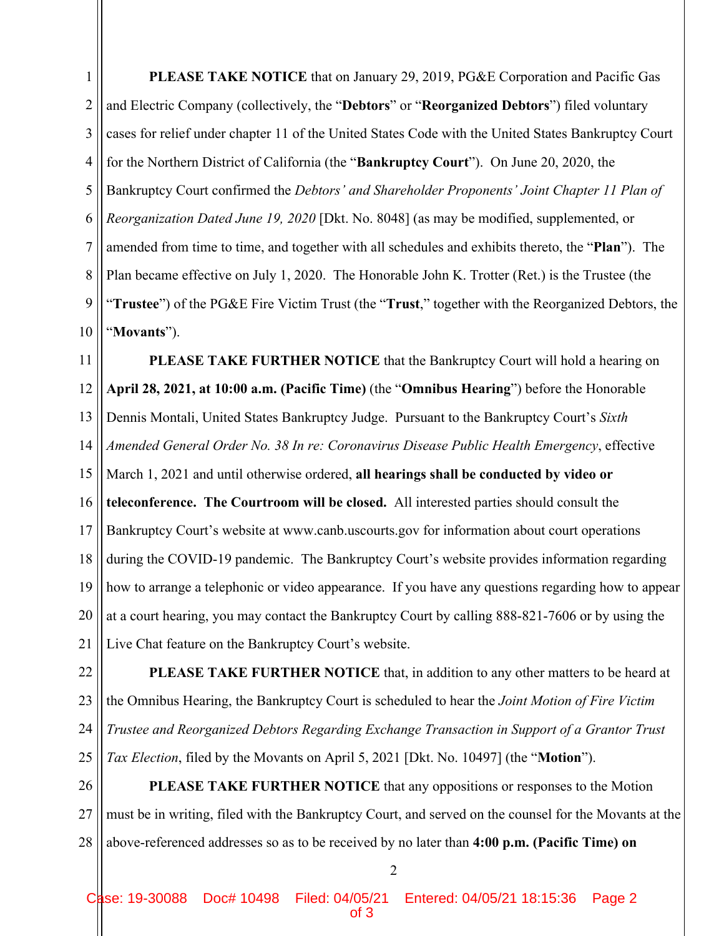1 2 3 4 5 6 7 8 9 10 **PLEASE TAKE NOTICE** that on January 29, 2019, PG&E Corporation and Pacific Gas and Electric Company (collectively, the "**Debtors**" or "**Reorganized Debtors**") filed voluntary cases for relief under chapter 11 of the United States Code with the United States Bankruptcy Court for the Northern District of California (the "**Bankruptcy Court**"). On June 20, 2020, the Bankruptcy Court confirmed the *Debtors' and Shareholder Proponents' Joint Chapter 11 Plan of Reorganization Dated June 19, 2020* [Dkt. No. 8048] (as may be modified, supplemented, or amended from time to time, and together with all schedules and exhibits thereto, the "**Plan**"). The Plan became effective on July 1, 2020. The Honorable John K. Trotter (Ret.) is the Trustee (the "**Trustee**") of the PG&E Fire Victim Trust (the "**Trust**," together with the Reorganized Debtors, the "**Movants**").

11 12 13 14 15 16 17 18 19 20 21 **PLEASE TAKE FURTHER NOTICE** that the Bankruptcy Court will hold a hearing on **April 28, 2021, at 10:00 a.m. (Pacific Time)** (the "**Omnibus Hearing**") before the Honorable Dennis Montali, United States Bankruptcy Judge. Pursuant to the Bankruptcy Court's *Sixth Amended General Order No. 38 In re: Coronavirus Disease Public Health Emergency*, effective March 1, 2021 and until otherwise ordered, **all hearings shall be conducted by video or teleconference. The Courtroom will be closed.** All interested parties should consult the Bankruptcy Court's website at www.canb.uscourts.gov for information about court operations during the COVID-19 pandemic. The Bankruptcy Court's website provides information regarding how to arrange a telephonic or video appearance. If you have any questions regarding how to appear at a court hearing, you may contact the Bankruptcy Court by calling 888-821-7606 or by using the Live Chat feature on the Bankruptcy Court's website.

22 23 24 25 **PLEASE TAKE FURTHER NOTICE** that, in addition to any other matters to be heard at the Omnibus Hearing, the Bankruptcy Court is scheduled to hear the *Joint Motion of Fire Victim Trustee and Reorganized Debtors Regarding Exchange Transaction in Support of a Grantor Trust Tax Election*, filed by the Movants on April 5, 2021 [Dkt. No. 10497] (the "**Motion**").

26 27 28 **PLEASE TAKE FURTHER NOTICE** that any oppositions or responses to the Motion must be in writing, filed with the Bankruptcy Court, and served on the counsel for the Movants at the above-referenced addresses so as to be received by no later than **4:00 p.m. (Pacific Time) on** 

 $\mathcal{L}$